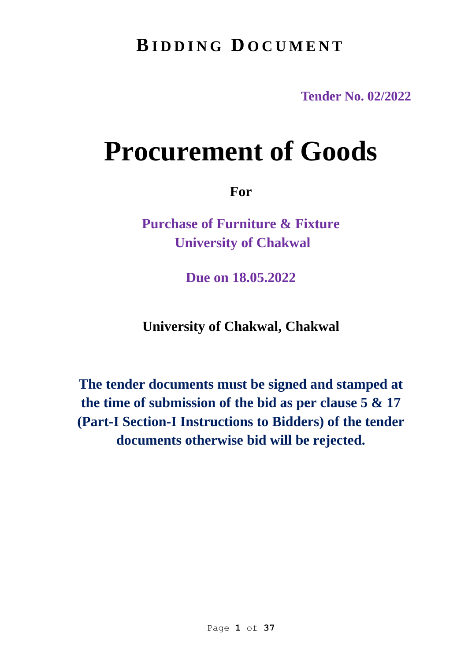# **BI D D I N G D O C U M E N T**

**Tender No. 02/2022**

# **Procurement of Goods**

**For**

**Purchase of Furniture & Fixture University of Chakwal**

**Due on 18.05.2022**

**University of Chakwal, Chakwal** 

**The tender documents must be signed and stamped at the time of submission of the bid as per clause 5 & 17 (Part-I Section-I Instructions to Bidders) of the tender documents otherwise bid will be rejected.**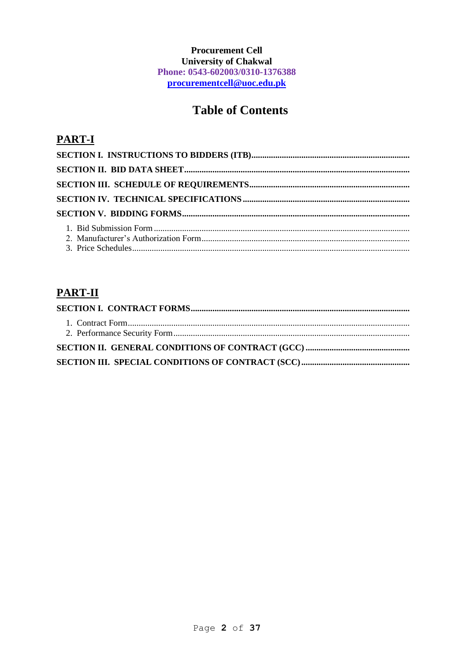# **Procurement Cell University of Chakwal** Phone: 0543-602003/0310-1376388 procurementcell@uoc.edu.pk

# **Table of Contents**

# **PART-I**

# **PART-II**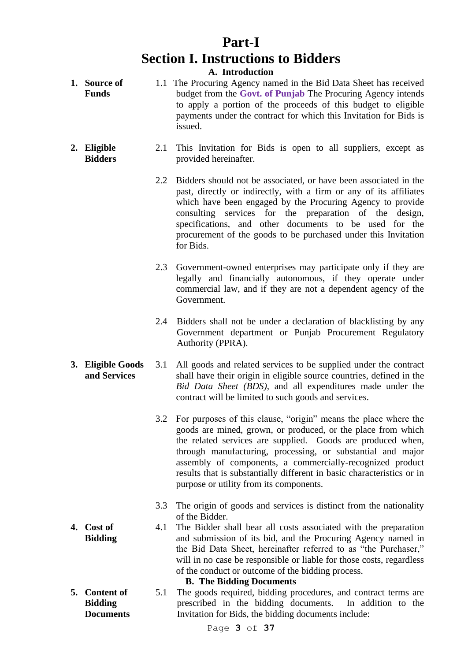# **Part-I Section I. Instructions to Bidders**

**A. Introduction**

- **1. Source of Funds** 1.1 The Procuring Agency named in the Bid Data Sheet has received budget from the **Govt. of Punjab** The Procuring Agency intends to apply a portion of the proceeds of this budget to eligible payments under the contract for which this Invitation for Bids is issued.
- **2. Eligible Bidders** 2.1 This Invitation for Bids is open to all suppliers, except as provided hereinafter.
	- 2.2 Bidders should not be associated, or have been associated in the past, directly or indirectly, with a firm or any of its affiliates which have been engaged by the Procuring Agency to provide consulting services for the preparation of the design, specifications, and other documents to be used for the procurement of the goods to be purchased under this Invitation for Bids.
	- 2.3 Government-owned enterprises may participate only if they are legally and financially autonomous, if they operate under commercial law, and if they are not a dependent agency of the Government.
	- 2.4 Bidders shall not be under a declaration of blacklisting by any Government department or Punjab Procurement Regulatory Authority (PPRA).
- **3. Eligible Goods and Services** 3.1 All goods and related services to be supplied under the contract shall have their origin in eligible source countries, defined in the *Bid Data Sheet (BDS)*, and all expenditures made under the contract will be limited to such goods and services.
	- 3.2 For purposes of this clause, "origin" means the place where the goods are mined, grown, or produced, or the place from which the related services are supplied. Goods are produced when, through manufacturing, processing, or substantial and major assembly of components, a commercially-recognized product results that is substantially different in basic characteristics or in purpose or utility from its components.
	- 3.3 The origin of goods and services is distinct from the nationality of the Bidder.
	- 4.1 The Bidder shall bear all costs associated with the preparation and submission of its bid, and the Procuring Agency named in the Bid Data Sheet, hereinafter referred to as "the Purchaser," will in no case be responsible or liable for those costs, regardless of the conduct or outcome of the bidding process.

**B. The Bidding Documents**

**5. Content of Bidding Documents** 5.1 The goods required, bidding procedures, and contract terms are prescribed in the bidding documents. In addition to the Invitation for Bids, the bidding documents include:

**4. Cost of Bidding**

Page **3** of **37**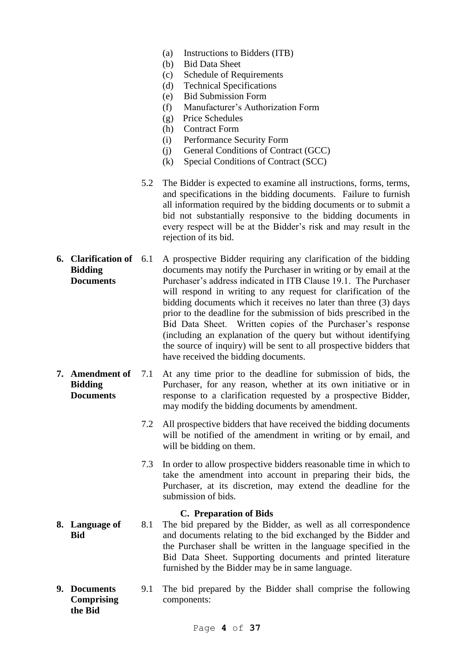- (a) Instructions to Bidders (ITB)
- (b) Bid Data Sheet
- (c) Schedule of Requirements
- (d) Technical Specifications
- (e) Bid Submission Form
- (f) Manufacturer's Authorization Form
- (g) Price Schedules
- (h) Contract Form
- (i) Performance Security Form
- (j) General Conditions of Contract (GCC)
- (k) Special Conditions of Contract (SCC)
- 5.2 The Bidder is expected to examine all instructions, forms, terms, and specifications in the bidding documents. Failure to furnish all information required by the bidding documents or to submit a bid not substantially responsive to the bidding documents in every respect will be at the Bidder's risk and may result in the rejection of its bid.
- **6. Clarification of Bidding Documents** 6.1 A prospective Bidder requiring any clarification of the bidding documents may notify the Purchaser in writing or by email at the Purchaser's address indicated in ITB Clause 19.1. The Purchaser will respond in writing to any request for clarification of the bidding documents which it receives no later than three (3) days prior to the deadline for the submission of bids prescribed in the Bid Data Sheet. Written copies of the Purchaser's response (including an explanation of the query but without identifying the source of inquiry) will be sent to all prospective bidders that have received the bidding documents.
- **7. Amendment of Bidding Documents** 7.1 At any time prior to the deadline for submission of bids, the Purchaser, for any reason, whether at its own initiative or in response to a clarification requested by a prospective Bidder, may modify the bidding documents by amendment.
	- 7.2 All prospective bidders that have received the bidding documents will be notified of the amendment in writing or by email, and will be bidding on them.
	- 7.3 In order to allow prospective bidders reasonable time in which to take the amendment into account in preparing their bids, the Purchaser, at its discretion, may extend the deadline for the submission of bids.

#### **C. Preparation of Bids**

- **8. Language of Bid** 8.1 The bid prepared by the Bidder, as well as all correspondence and documents relating to the bid exchanged by the Bidder and the Purchaser shall be written in the language specified in the Bid Data Sheet. Supporting documents and printed literature furnished by the Bidder may be in same language.
- **9. Documents Comprising the Bid** 9.1 The bid prepared by the Bidder shall comprise the following components: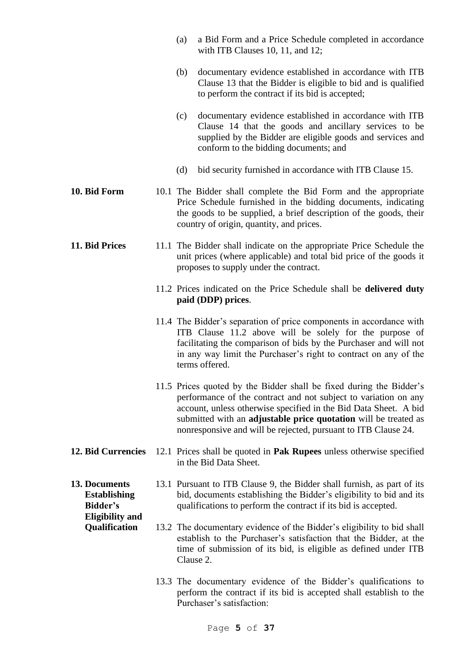|                                                                                   | a Bid Form and a Price Schedule completed in accordance<br>(a)<br>with ITB Clauses $10$ , $11$ , and $12$ ;                                                                                                                                                                                                                                     |
|-----------------------------------------------------------------------------------|-------------------------------------------------------------------------------------------------------------------------------------------------------------------------------------------------------------------------------------------------------------------------------------------------------------------------------------------------|
|                                                                                   | documentary evidence established in accordance with ITB<br>(b)<br>Clause 13 that the Bidder is eligible to bid and is qualified<br>to perform the contract if its bid is accepted;                                                                                                                                                              |
|                                                                                   | documentary evidence established in accordance with ITB<br>(c)<br>Clause 14 that the goods and ancillary services to be<br>supplied by the Bidder are eligible goods and services and<br>conform to the bidding documents; and                                                                                                                  |
|                                                                                   | bid security furnished in accordance with ITB Clause 15.<br>(d)                                                                                                                                                                                                                                                                                 |
| 10. Bid Form                                                                      | 10.1 The Bidder shall complete the Bid Form and the appropriate<br>Price Schedule furnished in the bidding documents, indicating<br>the goods to be supplied, a brief description of the goods, their<br>country of origin, quantity, and prices.                                                                                               |
| 11. Bid Prices                                                                    | 11.1 The Bidder shall indicate on the appropriate Price Schedule the<br>unit prices (where applicable) and total bid price of the goods it<br>proposes to supply under the contract.                                                                                                                                                            |
|                                                                                   | 11.2 Prices indicated on the Price Schedule shall be delivered duty<br>paid (DDP) prices.                                                                                                                                                                                                                                                       |
|                                                                                   | 11.4 The Bidder's separation of price components in accordance with<br>ITB Clause 11.2 above will be solely for the purpose of<br>facilitating the comparison of bids by the Purchaser and will not<br>in any way limit the Purchaser's right to contract on any of the<br>terms offered.                                                       |
|                                                                                   | 11.5 Prices quoted by the Bidder shall be fixed during the Bidder's<br>performance of the contract and not subject to variation on any<br>account, unless otherwise specified in the Bid Data Sheet. A bid<br>submitted with an adjustable price quotation will be treated as<br>nonresponsive and will be rejected, pursuant to ITB Clause 24. |
| <b>12. Bid Currencies</b>                                                         | 12.1 Prices shall be quoted in <b>Pak Rupees</b> unless otherwise specified<br>in the Bid Data Sheet.                                                                                                                                                                                                                                           |
| 13. Documents<br><b>Establishing</b><br><b>Bidder's</b><br><b>Eligibility and</b> | 13.1 Pursuant to ITB Clause 9, the Bidder shall furnish, as part of its<br>bid, documents establishing the Bidder's eligibility to bid and its<br>qualifications to perform the contract if its bid is accepted.                                                                                                                                |
| Qualification                                                                     | 13.2 The documentary evidence of the Bidder's eligibility to bid shall<br>establish to the Purchaser's satisfaction that the Bidder, at the<br>time of submission of its bid, is eligible as defined under ITB<br>Clause 2.                                                                                                                     |
|                                                                                   | 13.3 The documentary evidence of the Bidder's qualifications to<br>perform the contract if its bid is accepted shall establish to the<br>Purchaser's satisfaction:                                                                                                                                                                              |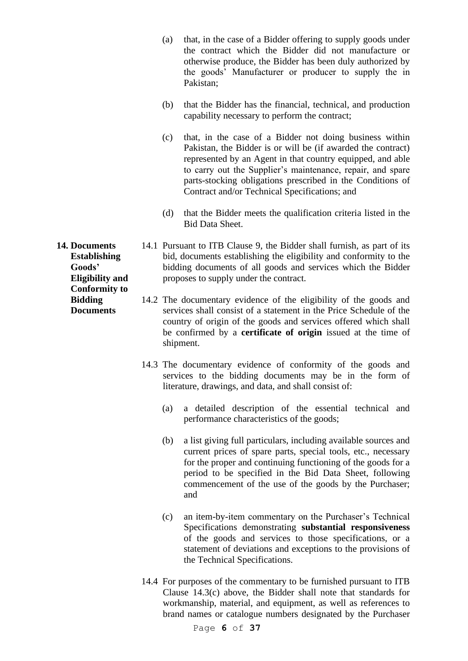- (a) that, in the case of a Bidder offering to supply goods under the contract which the Bidder did not manufacture or otherwise produce, the Bidder has been duly authorized by the goods' Manufacturer or producer to supply the in Pakistan;
- (b) that the Bidder has the financial, technical, and production capability necessary to perform the contract;
- (c) that, in the case of a Bidder not doing business within Pakistan, the Bidder is or will be (if awarded the contract) represented by an Agent in that country equipped, and able to carry out the Supplier's maintenance, repair, and spare parts-stocking obligations prescribed in the Conditions of Contract and/or Technical Specifications; and
- (d) that the Bidder meets the qualification criteria listed in the Bid Data Sheet.

14.1 Pursuant to ITB Clause 9, the Bidder shall furnish, as part of its bid, documents establishing the eligibility and conformity to the bidding documents of all goods and services which the Bidder proposes to supply under the contract.

- 14.2 The documentary evidence of the eligibility of the goods and services shall consist of a statement in the Price Schedule of the country of origin of the goods and services offered which shall be confirmed by a **certificate of origin** issued at the time of shipment.
	- 14.3 The documentary evidence of conformity of the goods and services to the bidding documents may be in the form of literature, drawings, and data, and shall consist of:
		- (a) a detailed description of the essential technical and performance characteristics of the goods;
		- (b) a list giving full particulars, including available sources and current prices of spare parts, special tools, etc., necessary for the proper and continuing functioning of the goods for a period to be specified in the Bid Data Sheet, following commencement of the use of the goods by the Purchaser; and
		- (c) an item-by-item commentary on the Purchaser's Technical Specifications demonstrating **substantial responsiveness** of the goods and services to those specifications, or a statement of deviations and exceptions to the provisions of the Technical Specifications.
	- 14.4 For purposes of the commentary to be furnished pursuant to ITB Clause 14.3(c) above, the Bidder shall note that standards for workmanship, material, and equipment, as well as references to brand names or catalogue numbers designated by the Purchaser

**14. Documents Establishing Goods' Eligibility and Conformity to Bidding Documents**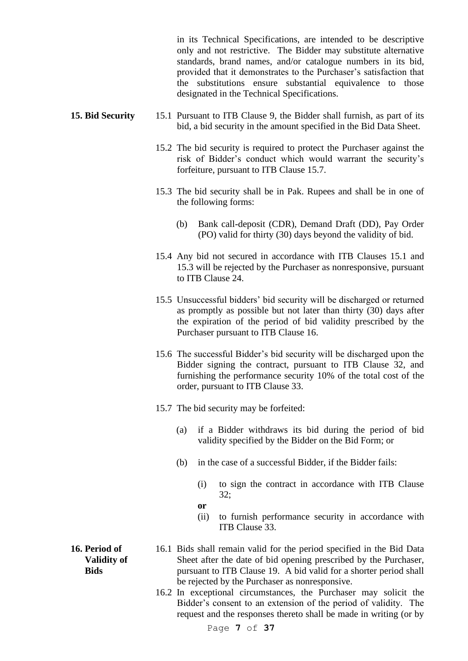in its Technical Specifications, are intended to be descriptive only and not restrictive. The Bidder may substitute alternative standards, brand names, and/or catalogue numbers in its bid, provided that it demonstrates to the Purchaser's satisfaction that the substitutions ensure substantial equivalence to those designated in the Technical Specifications.

#### **15. Bid Security** 15.1 Pursuant to ITB Clause 9, the Bidder shall furnish, as part of its bid, a bid security in the amount specified in the Bid Data Sheet.

- 15.2 The bid security is required to protect the Purchaser against the risk of Bidder's conduct which would warrant the security's forfeiture, pursuant to ITB Clause 15.7.
- 15.3 The bid security shall be in Pak. Rupees and shall be in one of the following forms:
	- (b) Bank call-deposit (CDR), Demand Draft (DD), Pay Order (PO) valid for thirty (30) days beyond the validity of bid.
- 15.4 Any bid not secured in accordance with ITB Clauses 15.1 and 15.3 will be rejected by the Purchaser as nonresponsive, pursuant to ITB Clause 24.
- 15.5 Unsuccessful bidders' bid security will be discharged or returned as promptly as possible but not later than thirty (30) days after the expiration of the period of bid validity prescribed by the Purchaser pursuant to ITB Clause 16.
- 15.6 The successful Bidder's bid security will be discharged upon the Bidder signing the contract, pursuant to ITB Clause 32, and furnishing the performance security 10% of the total cost of the order, pursuant to ITB Clause 33.
- 15.7 The bid security may be forfeited:
	- (a) if a Bidder withdraws its bid during the period of bid validity specified by the Bidder on the Bid Form; or
	- (b) in the case of a successful Bidder, if the Bidder fails:
		- (i) to sign the contract in accordance with ITB Clause 32;
		- **or**
		- (ii) to furnish performance security in accordance with ITB Clause 33.
- **16. Period of Validity of Bids**
- 16.1 Bids shall remain valid for the period specified in the Bid Data Sheet after the date of bid opening prescribed by the Purchaser, pursuant to ITB Clause 19. A bid valid for a shorter period shall be rejected by the Purchaser as nonresponsive.
	- 16.2 In exceptional circumstances, the Purchaser may solicit the Bidder's consent to an extension of the period of validity. The request and the responses thereto shall be made in writing (or by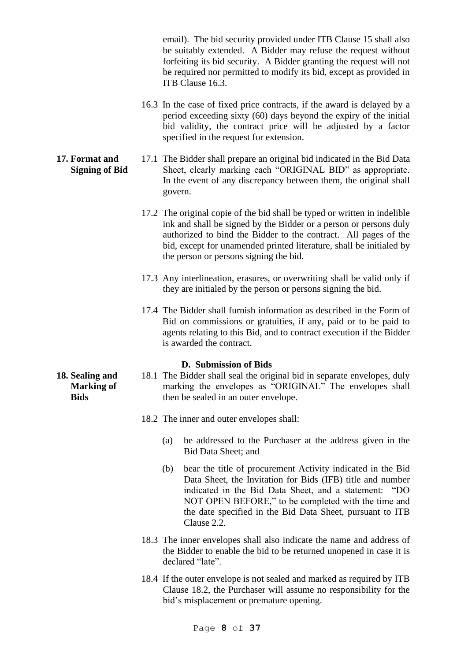email). The bid security provided under ITB Clause 15 shall also be suitably extended. A Bidder may refuse the request without forfeiting its bid security. A Bidder granting the request will not be required nor permitted to modify its bid, except as provided in ITB Clause 16.3.

- 16.3 In the case of fixed price contracts, if the award is delayed by a period exceeding sixty (60) days beyond the expiry of the initial bid validity, the contract price will be adjusted by a factor specified in the request for extension.
- **17. Format and Signing of Bid** 17.1 The Bidder shall prepare an original bid indicated in the Bid Data Sheet, clearly marking each "ORIGINAL BID" as appropriate. In the event of any discrepancy between them, the original shall govern.
	- 17.2 The original copie of the bid shall be typed or written in indelible ink and shall be signed by the Bidder or a person or persons duly authorized to bind the Bidder to the contract. All pages of the bid, except for unamended printed literature, shall be initialed by the person or persons signing the bid.
	- 17.3 Any interlineation, erasures, or overwriting shall be valid only if they are initialed by the person or persons signing the bid.
	- 17.4 The Bidder shall furnish information as described in the Form of Bid on commissions or gratuities, if any, paid or to be paid to agents relating to this Bid, and to contract execution if the Bidder is awarded the contract.

#### **D. Submission of Bids**

- 18.1 The Bidder shall seal the original bid in separate envelopes, duly marking the envelopes as "ORIGINAL" The envelopes shall then be sealed in an outer envelope.
	- 18.2 The inner and outer envelopes shall:
		- (a) be addressed to the Purchaser at the address given in the Bid Data Sheet; and
		- (b) bear the title of procurement Activity indicated in the Bid Data Sheet, the Invitation for Bids (IFB) title and number indicated in the Bid Data Sheet, and a statement: "DO NOT OPEN BEFORE," to be completed with the time and the date specified in the Bid Data Sheet, pursuant to ITB Clause 2.2.
	- 18.3 The inner envelopes shall also indicate the name and address of the Bidder to enable the bid to be returned unopened in case it is declared "late".
	- 18.4 If the outer envelope is not sealed and marked as required by ITB Clause 18.2, the Purchaser will assume no responsibility for the bid's misplacement or premature opening.

**18. Sealing and Marking of Bids**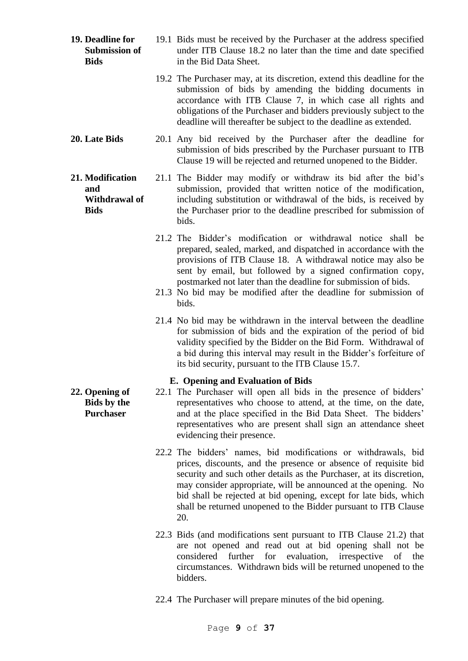- **19. Deadline for Submission of Bids** 19.1 Bids must be received by the Purchaser at the address specified under ITB Clause 18.2 no later than the time and date specified in the Bid Data Sheet.
	- 19.2 The Purchaser may, at its discretion, extend this deadline for the submission of bids by amending the bidding documents in accordance with ITB Clause 7, in which case all rights and obligations of the Purchaser and bidders previously subject to the deadline will thereafter be subject to the deadline as extended.
- **20. Late Bids** 20.1 Any bid received by the Purchaser after the deadline for submission of bids prescribed by the Purchaser pursuant to ITB Clause 19 will be rejected and returned unopened to the Bidder.

**21. Modification and Withdrawal of Bids** 21.1 The Bidder may modify or withdraw its bid after the bid's submission, provided that written notice of the modification, including substitution or withdrawal of the bids, is received by the Purchaser prior to the deadline prescribed for submission of bids.

- 21.2 The Bidder's modification or withdrawal notice shall be prepared, sealed, marked, and dispatched in accordance with the provisions of ITB Clause 18. A withdrawal notice may also be sent by email, but followed by a signed confirmation copy, postmarked not later than the deadline for submission of bids.
- 21.3 No bid may be modified after the deadline for submission of bids.
- 21.4 No bid may be withdrawn in the interval between the deadline for submission of bids and the expiration of the period of bid validity specified by the Bidder on the Bid Form. Withdrawal of a bid during this interval may result in the Bidder's forfeiture of its bid security, pursuant to the ITB Clause 15.7.

#### **E. Opening and Evaluation of Bids**

- 22.1 The Purchaser will open all bids in the presence of bidders' representatives who choose to attend, at the time, on the date, and at the place specified in the Bid Data Sheet. The bidders' representatives who are present shall sign an attendance sheet evidencing their presence.
	- 22.2 The bidders' names, bid modifications or withdrawals, bid prices, discounts, and the presence or absence of requisite bid security and such other details as the Purchaser, at its discretion, may consider appropriate, will be announced at the opening. No bid shall be rejected at bid opening, except for late bids, which shall be returned unopened to the Bidder pursuant to ITB Clause 20.
	- 22.3 Bids (and modifications sent pursuant to ITB Clause 21.2) that are not opened and read out at bid opening shall not be considered further for evaluation, irrespective of the circumstances. Withdrawn bids will be returned unopened to the bidders.
	- 22.4 The Purchaser will prepare minutes of the bid opening.

**22. Opening of Bids by the Purchaser**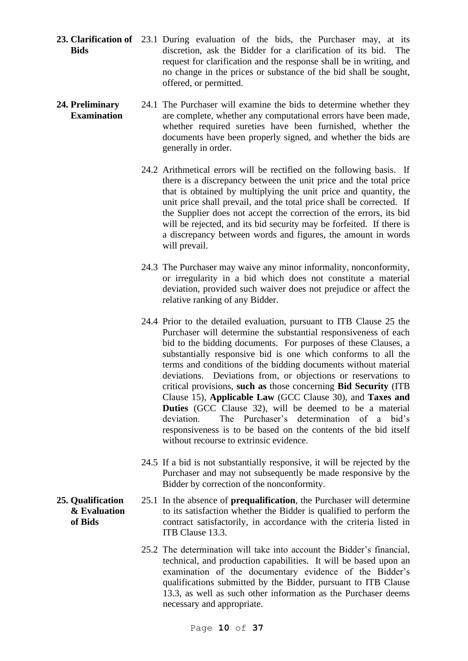23. Clarification of 23.1 During evaluation of the bids, the Purchaser may, at its **Bids** discretion, ask the Bidder for a clarification of its bid. The request for clarification and the response shall be in writing, and no change in the prices or substance of the bid shall be sought, offered, or permitted.

#### **24. Preliminary Examination** 24.1 The Purchaser will examine the bids to determine whether they are complete, whether any computational errors have been made, whether required sureties have been furnished, whether the documents have been properly signed, and whether the bids are generally in order.

- 24.2 Arithmetical errors will be rectified on the following basis. If there is a discrepancy between the unit price and the total price that is obtained by multiplying the unit price and quantity, the unit price shall prevail, and the total price shall be corrected. If the Supplier does not accept the correction of the errors, its bid will be rejected, and its bid security may be forfeited. If there is a discrepancy between words and figures, the amount in words will prevail.
- 24.3 The Purchaser may waive any minor informality, nonconformity, or irregularity in a bid which does not constitute a material deviation, provided such waiver does not prejudice or affect the relative ranking of any Bidder.
- 24.4 Prior to the detailed evaluation, pursuant to ITB Clause 25 the Purchaser will determine the substantial responsiveness of each bid to the bidding documents. For purposes of these Clauses, a substantially responsive bid is one which conforms to all the terms and conditions of the bidding documents without material deviations. Deviations from, or objections or reservations to critical provisions, **such as** those concerning **Bid Security** (ITB Clause 15), **Applicable Law** (GCC Clause 30), and **Taxes and Duties** (GCC Clause 32), will be deemed to be a material deviation. The Purchaser's determination of a bid's responsiveness is to be based on the contents of the bid itself without recourse to extrinsic evidence.
- 24.5 If a bid is not substantially responsive, it will be rejected by the Purchaser and may not subsequently be made responsive by the Bidder by correction of the nonconformity.
- 25.1 In the absence of **prequalification**, the Purchaser will determine to its satisfaction whether the Bidder is qualified to perform the contract satisfactorily, in accordance with the criteria listed in ITB Clause 13.3.
	- 25.2 The determination will take into account the Bidder's financial, technical, and production capabilities. It will be based upon an examination of the documentary evidence of the Bidder's qualifications submitted by the Bidder, pursuant to ITB Clause 13.3, as well as such other information as the Purchaser deems necessary and appropriate.

**25. Qualification & Evaluation of Bids**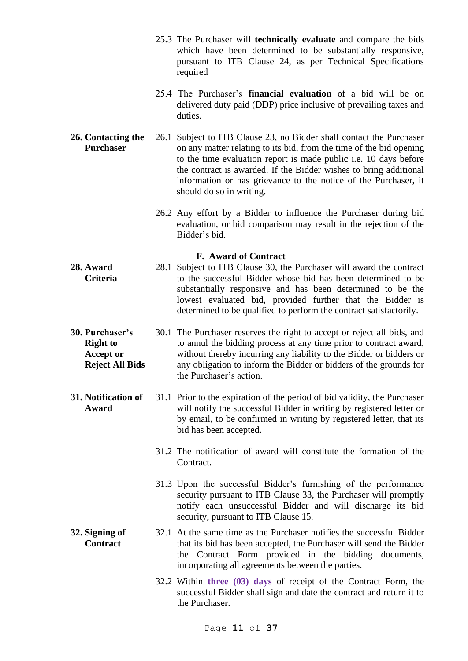- 25.3 The Purchaser will **technically evaluate** and compare the bids which have been determined to be substantially responsive, pursuant to ITB Clause 24, as per Technical Specifications required
- 25.4 The Purchaser's **financial evaluation** of a bid will be on delivered duty paid (DDP) price inclusive of prevailing taxes and duties.
- **26. Contacting the Purchaser** 26.1 Subject to ITB Clause 23, no Bidder shall contact the Purchaser on any matter relating to its bid, from the time of the bid opening to the time evaluation report is made public i.e. 10 days before the contract is awarded. If the Bidder wishes to bring additional information or has grievance to the notice of the Purchaser, it should do so in writing.
	- 26.2 Any effort by a Bidder to influence the Purchaser during bid evaluation, or bid comparison may result in the rejection of the Bidder's bid.

# **F. Award of Contract**

- **28. Award Criteria** 28.1 Subject to ITB Clause 30, the Purchaser will award the contract to the successful Bidder whose bid has been determined to be substantially responsive and has been determined to be the lowest evaluated bid, provided further that the Bidder is determined to be qualified to perform the contract satisfactorily.
- **30. Purchaser's Right to Accept or Reject All Bids** 30.1 The Purchaser reserves the right to accept or reject all bids, and to annul the bidding process at any time prior to contract award, without thereby incurring any liability to the Bidder or bidders or any obligation to inform the Bidder or bidders of the grounds for the Purchaser's action.
- **31. Notification of Award** 31.1 Prior to the expiration of the period of bid validity, the Purchaser will notify the successful Bidder in writing by registered letter or by email, to be confirmed in writing by registered letter, that its bid has been accepted.
	- 31.2 The notification of award will constitute the formation of the Contract.
	- 31.3 Upon the successful Bidder's furnishing of the performance security pursuant to ITB Clause 33, the Purchaser will promptly notify each unsuccessful Bidder and will discharge its bid security, pursuant to ITB Clause 15.
- **32. Signing of Contract** 32.1 At the same time as the Purchaser notifies the successful Bidder that its bid has been accepted, the Purchaser will send the Bidder the Contract Form provided in the bidding documents, incorporating all agreements between the parties.
	- 32.2 Within **three (03) days** of receipt of the Contract Form, the successful Bidder shall sign and date the contract and return it to the Purchaser.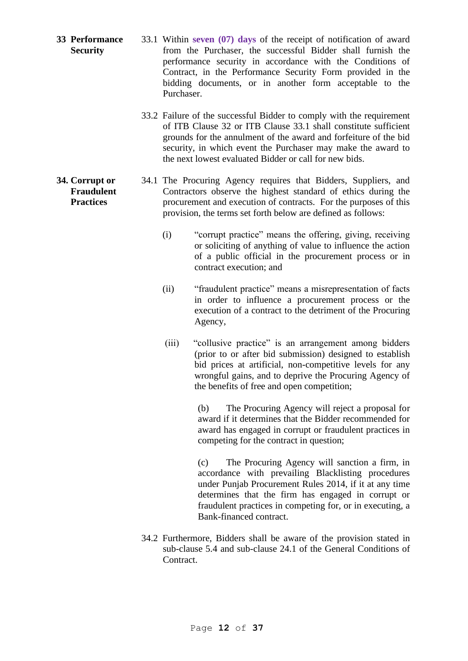- **33 Performance Security** 33.1 Within **seven (07) days** of the receipt of notification of award from the Purchaser, the successful Bidder shall furnish the performance security in accordance with the Conditions of Contract, in the Performance Security Form provided in the bidding documents, or in another form acceptable to the Purchaser.
	- 33.2 Failure of the successful Bidder to comply with the requirement of ITB Clause 32 or ITB Clause 33.1 shall constitute sufficient grounds for the annulment of the award and forfeiture of the bid security, in which event the Purchaser may make the award to the next lowest evaluated Bidder or call for new bids.
	- 34.1 The Procuring Agency requires that Bidders, Suppliers, and Contractors observe the highest standard of ethics during the procurement and execution of contracts. For the purposes of this provision, the terms set forth below are defined as follows:
		- (i) "corrupt practice" means the offering, giving, receiving or soliciting of anything of value to influence the action of a public official in the procurement process or in contract execution; and
		- (ii) "fraudulent practice" means a misrepresentation of facts in order to influence a procurement process or the execution of a contract to the detriment of the Procuring Agency,
		- (iii) "collusive practice" is an arrangement among bidders (prior to or after bid submission) designed to establish bid prices at artificial, non-competitive levels for any wrongful gains, and to deprive the Procuring Agency of the benefits of free and open competition;

(b) The Procuring Agency will reject a proposal for award if it determines that the Bidder recommended for award has engaged in corrupt or fraudulent practices in competing for the contract in question;

(c) The Procuring Agency will sanction a firm, in accordance with prevailing Blacklisting procedures under Punjab Procurement Rules 2014, if it at any time determines that the firm has engaged in corrupt or fraudulent practices in competing for, or in executing, a Bank-financed contract.

34.2 Furthermore, Bidders shall be aware of the provision stated in sub-clause 5.4 and sub-clause 24.1 of the General Conditions of Contract.

# **34. Corrupt or Fraudulent Practices**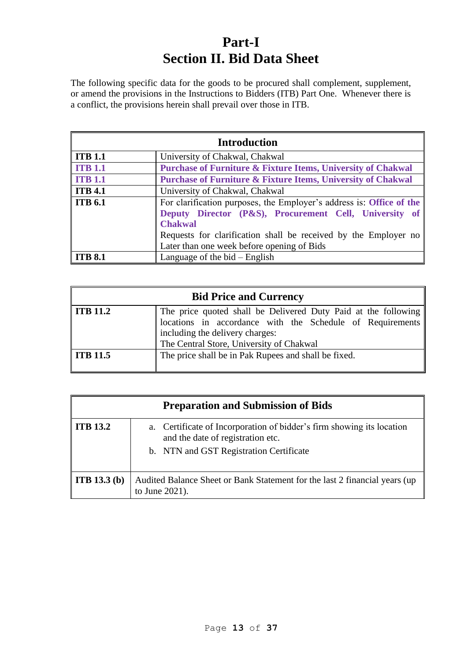# **Part-I Section II. Bid Data Sheet**

The following specific data for the goods to be procured shall complement, supplement, or amend the provisions in the Instructions to Bidders (ITB) Part One. Whenever there is a conflict, the provisions herein shall prevail over those in ITB.

| <b>Introduction</b>                                                                                                                                                |                                                                                                               |  |  |  |
|--------------------------------------------------------------------------------------------------------------------------------------------------------------------|---------------------------------------------------------------------------------------------------------------|--|--|--|
| <b>ITB 1.1</b>                                                                                                                                                     | University of Chakwal, Chakwal                                                                                |  |  |  |
| <b>ITB 1.1</b>                                                                                                                                                     | <b>Purchase of Furniture &amp; Fixture Items, University of Chakwal</b>                                       |  |  |  |
| <b>ITB 1.1</b>                                                                                                                                                     | <b>Purchase of Furniture &amp; Fixture Items, University of Chakwal</b>                                       |  |  |  |
| <b>ITB 4.1</b><br>University of Chakwal, Chakwal                                                                                                                   |                                                                                                               |  |  |  |
| <b>ITB 6.1</b><br>For clarification purposes, the Employer's address is: Office of the<br>Deputy Director (P&S), Procurement Cell, University of<br><b>Chakwal</b> |                                                                                                               |  |  |  |
|                                                                                                                                                                    | Requests for clarification shall be received by the Employer no<br>Later than one week before opening of Bids |  |  |  |
| <b>ITB 8.1</b>                                                                                                                                                     | Language of the $bid$ – English                                                                               |  |  |  |

| <b>Bid Price and Currency</b>                                    |                                                                                                                                                                                                            |  |  |  |
|------------------------------------------------------------------|------------------------------------------------------------------------------------------------------------------------------------------------------------------------------------------------------------|--|--|--|
| ITB 11.2                                                         | The price quoted shall be Delivered Duty Paid at the following<br>locations in accordance with the Schedule of Requirements<br>including the delivery charges:<br>The Central Store, University of Chakwal |  |  |  |
| ITB 11.5<br>The price shall be in Pak Rupees and shall be fixed. |                                                                                                                                                                                                            |  |  |  |

| <b>Preparation and Submission of Bids</b> |                                                                                                                                                       |  |  |  |  |
|-------------------------------------------|-------------------------------------------------------------------------------------------------------------------------------------------------------|--|--|--|--|
| ITB 13.2                                  | a. Certificate of Incorporation of bidder's firm showing its location<br>and the date of registration etc.<br>b. NTN and GST Registration Certificate |  |  |  |  |
| <b>ITB</b> 13.3 (b)                       | Audited Balance Sheet or Bank Statement for the last 2 financial years (up)<br>to June 2021).                                                         |  |  |  |  |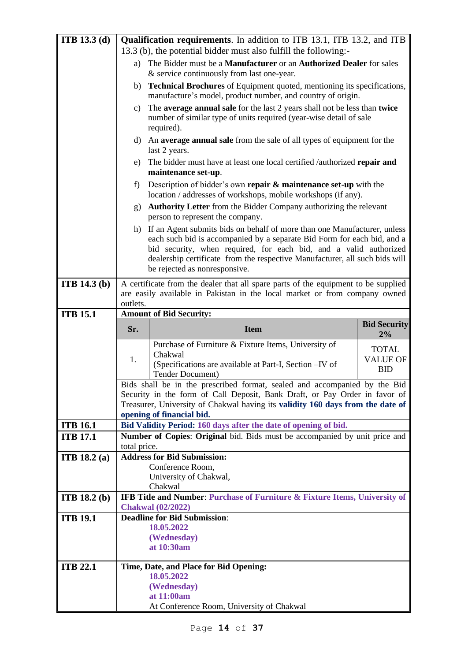| <b>ITB</b> 13.3 (d) | <b>Qualification requirements.</b> In addition to ITB 13.1, ITB 13.2, and ITB                                                                                       |                                                                                                                                                                                                                                                                                                                                             |                               |  |  |  |
|---------------------|---------------------------------------------------------------------------------------------------------------------------------------------------------------------|---------------------------------------------------------------------------------------------------------------------------------------------------------------------------------------------------------------------------------------------------------------------------------------------------------------------------------------------|-------------------------------|--|--|--|
|                     | 13.3 (b), the potential bidder must also fulfill the following:-                                                                                                    |                                                                                                                                                                                                                                                                                                                                             |                               |  |  |  |
|                     | The Bidder must be a Manufacturer or an Authorized Dealer for sales<br>a)                                                                                           |                                                                                                                                                                                                                                                                                                                                             |                               |  |  |  |
|                     | & service continuously from last one-year.                                                                                                                          |                                                                                                                                                                                                                                                                                                                                             |                               |  |  |  |
|                     | <b>Technical Brochures</b> of Equipment quoted, mentioning its specifications,<br>b)<br>manufacture's model, product number, and country of origin.                 |                                                                                                                                                                                                                                                                                                                                             |                               |  |  |  |
|                     | The average annual sale for the last 2 years shall not be less than twice<br>C)<br>number of similar type of units required (year-wise detail of sale<br>required). |                                                                                                                                                                                                                                                                                                                                             |                               |  |  |  |
|                     |                                                                                                                                                                     | d) An average annual sale from the sale of all types of equipment for the<br>last 2 years.                                                                                                                                                                                                                                                  |                               |  |  |  |
|                     | e)                                                                                                                                                                  | The bidder must have at least one local certified /authorized repair and<br>maintenance set-up.                                                                                                                                                                                                                                             |                               |  |  |  |
|                     | f)                                                                                                                                                                  | Description of bidder's own repair $\&$ maintenance set-up with the<br>location / addresses of workshops, mobile workshops (if any).                                                                                                                                                                                                        |                               |  |  |  |
|                     | g)                                                                                                                                                                  | Authority Letter from the Bidder Company authorizing the relevant<br>person to represent the company.                                                                                                                                                                                                                                       |                               |  |  |  |
|                     |                                                                                                                                                                     | h) If an Agent submits bids on behalf of more than one Manufacturer, unless<br>each such bid is accompanied by a separate Bid Form for each bid, and a<br>bid security, when required, for each bid, and a valid authorized<br>dealership certificate from the respective Manufacturer, all such bids will<br>be rejected as nonresponsive. |                               |  |  |  |
| <b>ITB</b> 14.3 (b) |                                                                                                                                                                     | A certificate from the dealer that all spare parts of the equipment to be supplied                                                                                                                                                                                                                                                          |                               |  |  |  |
|                     |                                                                                                                                                                     | are easily available in Pakistan in the local market or from company owned                                                                                                                                                                                                                                                                  |                               |  |  |  |
|                     | outlets.                                                                                                                                                            |                                                                                                                                                                                                                                                                                                                                             |                               |  |  |  |
| <b>ITB 15.1</b>     |                                                                                                                                                                     | <b>Amount of Bid Security:</b>                                                                                                                                                                                                                                                                                                              |                               |  |  |  |
|                     | <b>Bid Security</b>                                                                                                                                                 |                                                                                                                                                                                                                                                                                                                                             |                               |  |  |  |
|                     | Sr.                                                                                                                                                                 | <b>Item</b>                                                                                                                                                                                                                                                                                                                                 |                               |  |  |  |
|                     |                                                                                                                                                                     |                                                                                                                                                                                                                                                                                                                                             | $2\%$                         |  |  |  |
|                     |                                                                                                                                                                     | Purchase of Furniture & Fixture Items, University of<br>Chakwal                                                                                                                                                                                                                                                                             | <b>TOTAL</b>                  |  |  |  |
|                     | 1.                                                                                                                                                                  | (Specifications are available at Part-I, Section -IV of                                                                                                                                                                                                                                                                                     | <b>VALUE OF</b><br><b>BID</b> |  |  |  |
|                     |                                                                                                                                                                     | Tender Document)<br>Bids shall be in the prescribed format, sealed and accompanied by the Bid                                                                                                                                                                                                                                               |                               |  |  |  |
|                     |                                                                                                                                                                     | Security in the form of Call Deposit, Bank Draft, or Pay Order in favor of                                                                                                                                                                                                                                                                  |                               |  |  |  |
|                     |                                                                                                                                                                     | Treasurer, University of Chakwal having its validity 160 days from the date of                                                                                                                                                                                                                                                              |                               |  |  |  |
|                     |                                                                                                                                                                     | opening of financial bid.                                                                                                                                                                                                                                                                                                                   |                               |  |  |  |
| <b>ITB 16.1</b>     |                                                                                                                                                                     | Bid Validity Period: 160 days after the date of opening of bid.                                                                                                                                                                                                                                                                             |                               |  |  |  |
| <b>ITB 17.1</b>     |                                                                                                                                                                     | Number of Copies: Original bid. Bids must be accompanied by unit price and                                                                                                                                                                                                                                                                  |                               |  |  |  |
|                     | total price.                                                                                                                                                        |                                                                                                                                                                                                                                                                                                                                             |                               |  |  |  |
| <b>ITB</b> 18.2 (a) |                                                                                                                                                                     | <b>Address for Bid Submission:</b><br>Conference Room,                                                                                                                                                                                                                                                                                      |                               |  |  |  |
|                     |                                                                                                                                                                     | University of Chakwal,                                                                                                                                                                                                                                                                                                                      |                               |  |  |  |
|                     |                                                                                                                                                                     | Chakwal                                                                                                                                                                                                                                                                                                                                     |                               |  |  |  |
| <b>ITB</b> 18.2 (b) |                                                                                                                                                                     | IFB Title and Number: Purchase of Furniture & Fixture Items, University of                                                                                                                                                                                                                                                                  |                               |  |  |  |
|                     |                                                                                                                                                                     | <b>Chakwal</b> (02/2022)                                                                                                                                                                                                                                                                                                                    |                               |  |  |  |
| <b>ITB 19.1</b>     |                                                                                                                                                                     | <b>Deadline for Bid Submission:</b>                                                                                                                                                                                                                                                                                                         |                               |  |  |  |
|                     |                                                                                                                                                                     | 18.05.2022<br>(Wednesday)                                                                                                                                                                                                                                                                                                                   |                               |  |  |  |
|                     |                                                                                                                                                                     | at 10:30am                                                                                                                                                                                                                                                                                                                                  |                               |  |  |  |
|                     |                                                                                                                                                                     |                                                                                                                                                                                                                                                                                                                                             |                               |  |  |  |
| <b>ITB 22.1</b>     |                                                                                                                                                                     | Time, Date, and Place for Bid Opening:                                                                                                                                                                                                                                                                                                      |                               |  |  |  |
|                     |                                                                                                                                                                     | 18.05.2022                                                                                                                                                                                                                                                                                                                                  |                               |  |  |  |
|                     |                                                                                                                                                                     | (Wednesday)<br>at 11:00am                                                                                                                                                                                                                                                                                                                   |                               |  |  |  |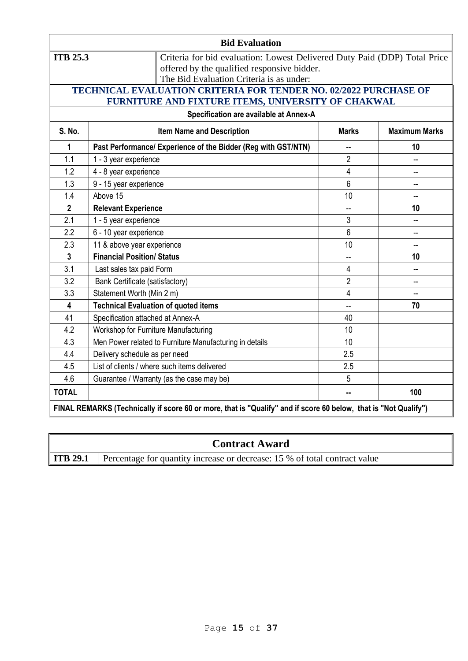| <b>Bid Evaluation</b>   |                                                                                                                 |                                                                                                                          |                      |  |  |  |  |
|-------------------------|-----------------------------------------------------------------------------------------------------------------|--------------------------------------------------------------------------------------------------------------------------|----------------------|--|--|--|--|
| <b>ITB 25.3</b>         | The Bid Evaluation Criteria is as under:                                                                        | Criteria for bid evaluation: Lowest Delivered Duty Paid (DDP) Total Price<br>offered by the qualified responsive bidder. |                      |  |  |  |  |
|                         | TECHNICAL EVALUATION CRITERIA FOR TENDER NO. 02/2022 PURCHASE OF                                                |                                                                                                                          |                      |  |  |  |  |
|                         | FURNITURE AND FIXTURE ITEMS, UNIVERSITY OF CHAKWAL<br>Specification are available at Annex-A                    |                                                                                                                          |                      |  |  |  |  |
| <b>S. No.</b>           | <b>Item Name and Description</b>                                                                                | <b>Marks</b>                                                                                                             | <b>Maximum Marks</b> |  |  |  |  |
| 1                       | Past Performance/ Experience of the Bidder (Reg with GST/NTN)                                                   | $\overline{\phantom{a}}$                                                                                                 | 10                   |  |  |  |  |
| 1.1                     | 1 - 3 year experience                                                                                           | $\overline{2}$                                                                                                           |                      |  |  |  |  |
| 1.2                     | 4 - 8 year experience                                                                                           | $\overline{4}$                                                                                                           |                      |  |  |  |  |
| 1.3                     | 9 - 15 year experience                                                                                          | $6\phantom{1}$                                                                                                           |                      |  |  |  |  |
| 1.4                     | Above 15                                                                                                        | 10                                                                                                                       |                      |  |  |  |  |
| $\overline{\mathbf{2}}$ | <b>Relevant Experience</b>                                                                                      | $\overline{\phantom{a}}$                                                                                                 | 10                   |  |  |  |  |
| 2.1                     | 1 - 5 year experience                                                                                           | 3                                                                                                                        |                      |  |  |  |  |
| 2.2                     | 6 - 10 year experience                                                                                          | 6                                                                                                                        |                      |  |  |  |  |
| 2.3                     | 11 & above year experience                                                                                      | 10                                                                                                                       |                      |  |  |  |  |
| $\overline{3}$          | <b>Financial Position/ Status</b>                                                                               | $\overline{a}$                                                                                                           | 10                   |  |  |  |  |
| 3.1                     | Last sales tax paid Form                                                                                        | 4                                                                                                                        |                      |  |  |  |  |
| 3.2                     | Bank Certificate (satisfactory)                                                                                 | $\overline{2}$                                                                                                           | --                   |  |  |  |  |
| 3.3                     | Statement Worth (Min 2 m)                                                                                       | 4                                                                                                                        |                      |  |  |  |  |
| $\overline{\mathbf{4}}$ | <b>Technical Evaluation of quoted items</b>                                                                     | Ш,                                                                                                                       | 70                   |  |  |  |  |
| 41                      | Specification attached at Annex-A                                                                               | 40                                                                                                                       |                      |  |  |  |  |
| 4.2                     | Workshop for Furniture Manufacturing                                                                            | 10                                                                                                                       |                      |  |  |  |  |
| 4.3                     | Men Power related to Furniture Manufacturing in details                                                         | 10                                                                                                                       |                      |  |  |  |  |
| 4.4                     | Delivery schedule as per need                                                                                   | 2.5                                                                                                                      |                      |  |  |  |  |
| 4.5                     | List of clients / where such items delivered                                                                    | 2.5                                                                                                                      |                      |  |  |  |  |
| 4.6                     | Guarantee / Warranty (as the case may be)                                                                       | 5                                                                                                                        |                      |  |  |  |  |
| <b>TOTAL</b>            |                                                                                                                 | н.                                                                                                                       | 100                  |  |  |  |  |
|                         | FINAL REMARKS (Technically if score 60 or more, that is "Qualify" and if score 60 below, that is "Not Qualify") |                                                                                                                          |                      |  |  |  |  |

|                 | <b>Contract Award</b>                                                      |
|-----------------|----------------------------------------------------------------------------|
| <b>ITB 29.1</b> | Percentage for quantity increase or decrease: 15 % of total contract value |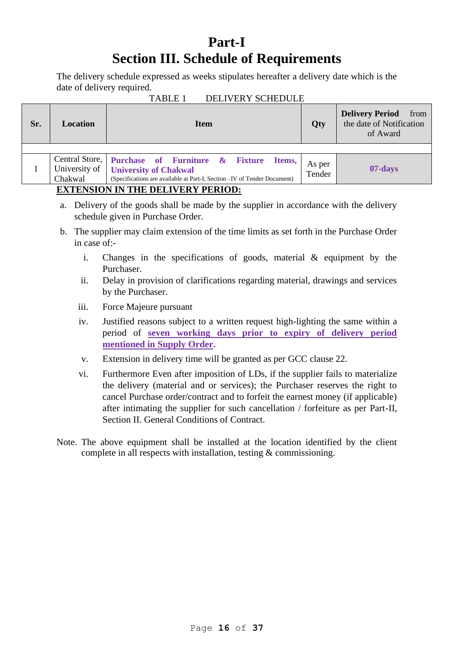# **Part-I Section III. Schedule of Requirements**

The delivery schedule expressed as weeks stipulates hereafter a delivery date which is the date of delivery required.<br>TABLE 1

| 11 DUL 1<br>DLLI (LIVI QUILDOLLI |                                   |                                                                                                                                                                     |                  |                                                                        |  |  |  |
|----------------------------------|-----------------------------------|---------------------------------------------------------------------------------------------------------------------------------------------------------------------|------------------|------------------------------------------------------------------------|--|--|--|
| Sr.                              | <b>Location</b>                   | <b>Item</b>                                                                                                                                                         | Qty              | <b>Delivery Period</b><br>from<br>the date of Notification<br>of Award |  |  |  |
|                                  |                                   |                                                                                                                                                                     |                  |                                                                        |  |  |  |
|                                  | University of<br>Chakwal          | Central Store,   Purchase of Furniture & Fixture Items,<br><b>University of Chakwal</b><br>(Specifications are available at Part-I, Section -IV of Tender Document) | As per<br>Tender | 07-days                                                                |  |  |  |
|                                  | RUBBUATAN IN BIR DRI HIRDI DRDIAD |                                                                                                                                                                     |                  |                                                                        |  |  |  |

### DELIVERY SCHEDULE

# **EXTENSION IN THE DELIVERY PERIOD:**

- a. Delivery of the goods shall be made by the supplier in accordance with the delivery schedule given in Purchase Order.
- b. The supplier may claim extension of the time limits as set forth in the Purchase Order in case of:
	- i. Changes in the specifications of goods, material & equipment by the Purchaser.
	- ii. Delay in provision of clarifications regarding material, drawings and services by the Purchaser.
	- iii. Force Majeure pursuant
	- iv. Justified reasons subject to a written request high-lighting the same within a period of **seven working days prior to expiry of delivery period mentioned in Supply Order.**
	- v. Extension in delivery time will be granted as per GCC clause 22.
	- vi. Furthermore Even after imposition of LDs, if the supplier fails to materialize the delivery (material and or services); the Purchaser reserves the right to cancel Purchase order/contract and to forfeit the earnest money (if applicable) after intimating the supplier for such cancellation / forfeiture as per Part-II, Section II. General Conditions of Contract.
- Note. The above equipment shall be installed at the location identified by the client complete in all respects with installation, testing & commissioning.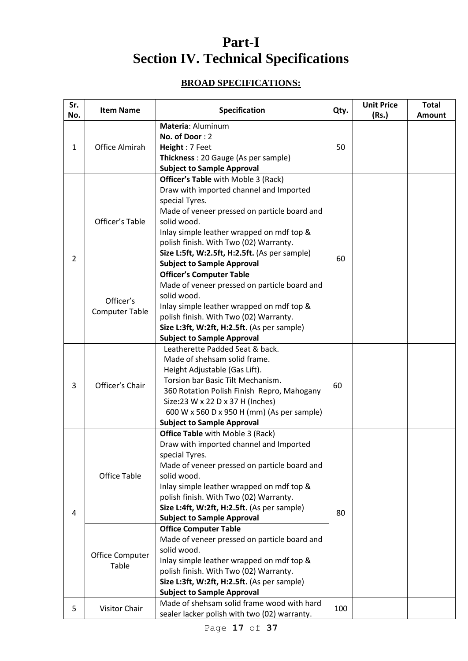# **Part-I Section IV. Technical Specifications**

# **BROAD SPECIFICATIONS:**

| Sr.<br>No.   | <b>Item Name</b>                                | Specification                                                                                                                                                                                                                                                                                                                                                                                                                                                                                                                 | Qty. | <b>Unit Price</b><br>(Rs.) | <b>Total</b><br><b>Amount</b> |
|--------------|-------------------------------------------------|-------------------------------------------------------------------------------------------------------------------------------------------------------------------------------------------------------------------------------------------------------------------------------------------------------------------------------------------------------------------------------------------------------------------------------------------------------------------------------------------------------------------------------|------|----------------------------|-------------------------------|
| $\mathbf{1}$ | <b>Office Almirah</b>                           | Materia: Aluminum<br>No. of Door: 2<br>Height: 7 Feet<br>Thickness: 20 Gauge (As per sample)<br><b>Subject to Sample Approval</b>                                                                                                                                                                                                                                                                                                                                                                                             | 50   |                            |                               |
| 2            | Officer's Table                                 | <b>Officer's Table</b> with Moble 3 (Rack)<br>Draw with imported channel and Imported<br>special Tyres.<br>Made of veneer pressed on particle board and<br>solid wood.<br>Inlay simple leather wrapped on mdf top &<br>polish finish. With Two (02) Warranty.<br>Size L:5ft, W:2.5ft, H:2.5ft. (As per sample)<br><b>Subject to Sample Approval</b>                                                                                                                                                                           | 60   |                            |                               |
|              | Officer's<br><b>Computer Table</b>              | <b>Officer's Computer Table</b><br>Made of veneer pressed on particle board and<br>solid wood.<br>Inlay simple leather wrapped on mdf top &<br>polish finish. With Two (02) Warranty.<br>Size L:3ft, W:2ft, H:2.5ft. (As per sample)<br><b>Subject to Sample Approval</b>                                                                                                                                                                                                                                                     |      |                            |                               |
| 3            | Officer's Chair                                 | Leatherette Padded Seat & back.<br>Made of shehsam solid frame.<br>Height Adjustable (Gas Lift).<br>Torsion bar Basic Tilt Mechanism.<br>360 Rotation Polish Finish Repro, Mahogany<br>Size:23 W x 22 D x 37 H (Inches)<br>600 W x 560 D x 950 H (mm) (As per sample)<br><b>Subject to Sample Approval</b>                                                                                                                                                                                                                    | 60   |                            |                               |
| 4            | <b>Office Table</b><br>Office Computer<br>Table | Office Table with Moble 3 (Rack)<br>Draw with imported channel and Imported<br>special Tyres.<br>Made of veneer pressed on particle board and<br>solid wood.<br>Inlay simple leather wrapped on mdf top &<br>polish finish. With Two (02) Warranty.<br>Size L:4ft, W:2ft, H:2.5ft. (As per sample)<br><b>Subject to Sample Approval</b><br><b>Office Computer Table</b><br>Made of veneer pressed on particle board and<br>solid wood.<br>Inlay simple leather wrapped on mdf top &<br>polish finish. With Two (02) Warranty. | 80   |                            |                               |
| 5            | Visitor Chair                                   | Size L:3ft, W:2ft, H:2.5ft. (As per sample)<br><b>Subject to Sample Approval</b><br>Made of shehsam solid frame wood with hard<br>sealer lacker polish with two (02) warranty.                                                                                                                                                                                                                                                                                                                                                | 100  |                            |                               |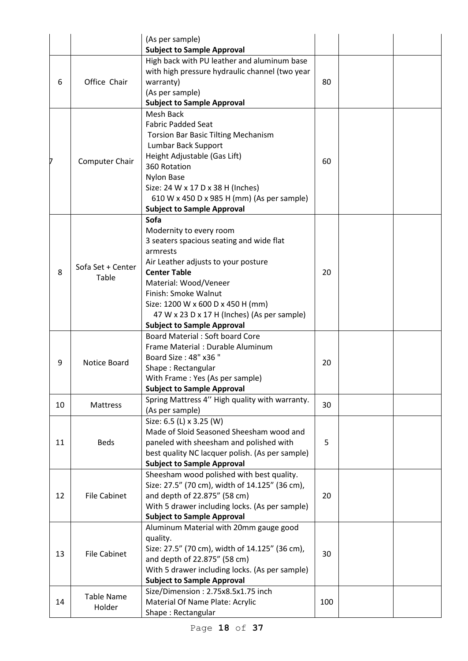|    |                            | (As per sample)<br><b>Subject to Sample Approval</b>                                                                                                                                                                                                                                                                            |     |  |
|----|----------------------------|---------------------------------------------------------------------------------------------------------------------------------------------------------------------------------------------------------------------------------------------------------------------------------------------------------------------------------|-----|--|
| 6  | Office Chair               | High back with PU leather and aluminum base<br>with high pressure hydraulic channel (two year<br>warranty)<br>(As per sample)<br><b>Subject to Sample Approval</b>                                                                                                                                                              | 80  |  |
| 7  | Computer Chair             | <b>Mesh Back</b><br><b>Fabric Padded Seat</b><br><b>Torsion Bar Basic Tilting Mechanism</b><br>Lumbar Back Support<br>Height Adjustable (Gas Lift)<br>360 Rotation<br><b>Nylon Base</b><br>Size: 24 W x 17 D x 38 H (Inches)<br>610 W x 450 D x 985 H (mm) (As per sample)<br><b>Subject to Sample Approval</b>                 | 60  |  |
| 8  | Sofa Set + Center<br>Table | Sofa<br>Modernity to every room<br>3 seaters spacious seating and wide flat<br>armrests<br>Air Leather adjusts to your posture<br><b>Center Table</b><br>Material: Wood/Veneer<br>Finish: Smoke Walnut<br>Size: 1200 W x 600 D x 450 H (mm)<br>47 W x 23 D x 17 H (Inches) (As per sample)<br><b>Subject to Sample Approval</b> | 20  |  |
| 9  | Notice Board               | <b>Board Material: Soft board Core</b><br>Frame Material : Durable Aluminum<br>Board Size: 48" x36 "<br>Shape: Rectangular<br>With Frame: Yes (As per sample)<br><b>Subject to Sample Approval</b>                                                                                                                              | 20  |  |
| 10 | Mattress                   | Spring Mattress 4" High quality with warranty.<br>(As per sample)                                                                                                                                                                                                                                                               | 30  |  |
| 11 | <b>Beds</b>                | Size: 6.5 (L) x 3.25 (W)<br>Made of Sloid Seasoned Sheesham wood and<br>paneled with sheesham and polished with<br>best quality NC lacquer polish. (As per sample)<br><b>Subject to Sample Approval</b>                                                                                                                         | 5   |  |
| 12 | <b>File Cabinet</b>        | Sheesham wood polished with best quality.<br>Size: 27.5" (70 cm), width of 14.125" (36 cm),<br>and depth of 22.875" (58 cm)<br>With 5 drawer including locks. (As per sample)<br><b>Subject to Sample Approval</b>                                                                                                              | 20  |  |
| 13 | <b>File Cabinet</b>        | Aluminum Material with 20mm gauge good<br>quality.<br>Size: 27.5" (70 cm), width of 14.125" (36 cm),<br>and depth of 22.875" (58 cm)<br>With 5 drawer including locks. (As per sample)<br><b>Subject to Sample Approval</b>                                                                                                     | 30  |  |
| 14 | Table Name<br>Holder       | Size/Dimension: 2.75x8.5x1.75 inch<br>Material Of Name Plate: Acrylic<br>Shape: Rectangular                                                                                                                                                                                                                                     | 100 |  |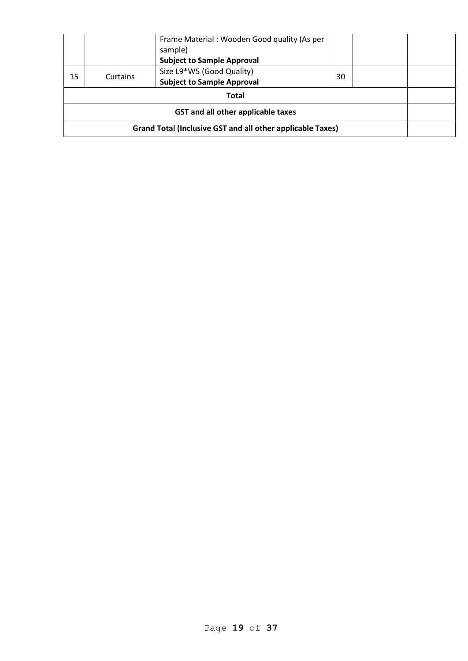|                                                            |          | Frame Material: Wooden Good quality (As per<br>sample)<br><b>Subject to Sample Approval</b> |    |  |  |
|------------------------------------------------------------|----------|---------------------------------------------------------------------------------------------|----|--|--|
| 15                                                         | Curtains | Size L9*W5 (Good Quality)<br><b>Subject to Sample Approval</b>                              | 30 |  |  |
| <b>Total</b>                                               |          |                                                                                             |    |  |  |
| GST and all other applicable taxes                         |          |                                                                                             |    |  |  |
| Grand Total (Inclusive GST and all other applicable Taxes) |          |                                                                                             |    |  |  |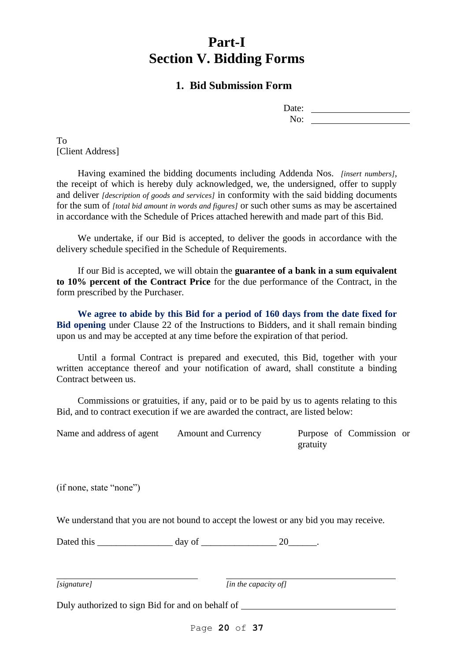# **Part-I Section V. Bidding Forms**

# **1. Bid Submission Form**

| Date:            |  |
|------------------|--|
| N <sub>O</sub> : |  |

To [Client Address]

Having examined the bidding documents including Addenda Nos. *[insert numbers],*  the receipt of which is hereby duly acknowledged, we, the undersigned, offer to supply and deliver *[description of goods and services]* in conformity with the said bidding documents for the sum of *[total bid amount in words and figures]* or such other sums as may be ascertained in accordance with the Schedule of Prices attached herewith and made part of this Bid.

We undertake, if our Bid is accepted, to deliver the goods in accordance with the delivery schedule specified in the Schedule of Requirements.

If our Bid is accepted, we will obtain the **guarantee of a bank in a sum equivalent to 10% percent of the Contract Price** for the due performance of the Contract, in the form prescribed by the Purchaser.

**We agree to abide by this Bid for a period of 160 days from the date fixed for Bid opening** under Clause 22 of the Instructions to Bidders, and it shall remain binding upon us and may be accepted at any time before the expiration of that period.

Until a formal Contract is prepared and executed, this Bid, together with your written acceptance thereof and your notification of award, shall constitute a binding Contract between us.

Commissions or gratuities, if any, paid or to be paid by us to agents relating to this Bid, and to contract execution if we are awarded the contract, are listed below:

Name and address of agent Amount and Currency Purpose of Commission or

gratuity

(if none, state "none")

We understand that you are not bound to accept the lowest or any bid you may receive.

Dated this \_\_\_\_\_\_\_\_\_\_\_\_\_\_\_\_\_\_\_\_\_\_\_ day of \_\_\_\_\_\_\_\_\_\_\_\_\_\_\_\_\_\_\_\_\_\_\_ 20\_\_\_\_\_\_\_\_.

*[signature] [in the capacity of]*

Duly authorized to sign Bid for and on behalf of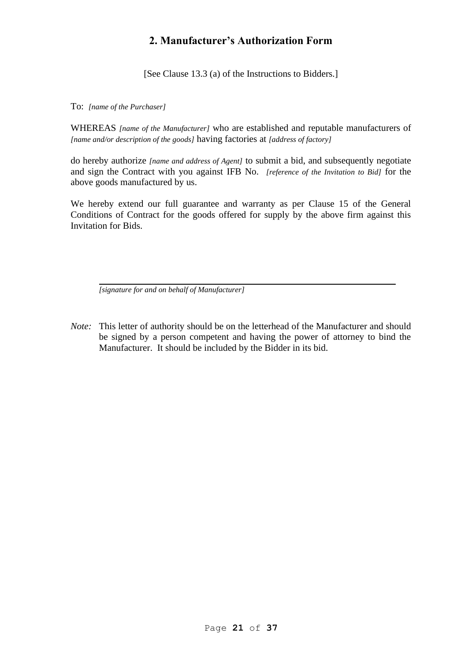# **2. Manufacturer's Authorization Form**

[See Clause 13.3 (a) of the Instructions to Bidders.]

To: *[name of the Purchaser]*

WHEREAS *[name of the Manufacturer]* who are established and reputable manufacturers of *[name and/or description of the goods]* having factories at *[address of factory]*

do hereby authorize *[name and address of Agent]* to submit a bid, and subsequently negotiate and sign the Contract with you against IFB No. *[reference of the Invitation to Bid]* for the above goods manufactured by us.

We hereby extend our full guarantee and warranty as per Clause 15 of the General Conditions of Contract for the goods offered for supply by the above firm against this Invitation for Bids.

*[signature for and on behalf of Manufacturer]*

*Note:* This letter of authority should be on the letterhead of the Manufacturer and should be signed by a person competent and having the power of attorney to bind the Manufacturer. It should be included by the Bidder in its bid.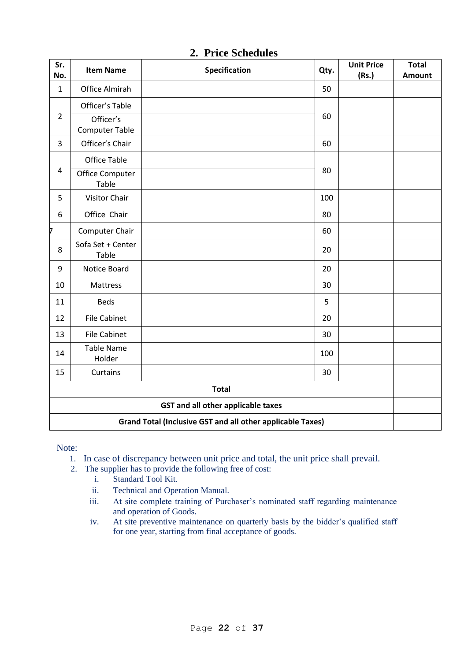| Sr.<br>No.                                                        | <b>Item Name</b>                   | <b>Specification</b> | Qty. | <b>Unit Price</b><br>(Rs.) | <b>Total</b><br><b>Amount</b> |
|-------------------------------------------------------------------|------------------------------------|----------------------|------|----------------------------|-------------------------------|
| $\mathbf{1}$                                                      | Office Almirah                     |                      | 50   |                            |                               |
| $\overline{2}$                                                    | Officer's Table                    |                      | 60   |                            |                               |
|                                                                   | Officer's<br><b>Computer Table</b> |                      |      |                            |                               |
| 3                                                                 | Officer's Chair                    |                      | 60   |                            |                               |
| $\overline{4}$                                                    | <b>Office Table</b>                |                      | 80   |                            |                               |
|                                                                   | Office Computer<br>Table           |                      |      |                            |                               |
| 5                                                                 | <b>Visitor Chair</b>               |                      | 100  |                            |                               |
| 6                                                                 | Office Chair                       |                      | 80   |                            |                               |
| 7                                                                 | Computer Chair                     |                      | 60   |                            |                               |
| 8                                                                 | Sofa Set + Center<br>Table         |                      | 20   |                            |                               |
| 9                                                                 | Notice Board                       |                      | 20   |                            |                               |
| 10                                                                | Mattress                           |                      | 30   |                            |                               |
| 11                                                                | <b>Beds</b>                        |                      | 5    |                            |                               |
| 12                                                                | <b>File Cabinet</b>                |                      | 20   |                            |                               |
| 13                                                                | <b>File Cabinet</b>                |                      | 30   |                            |                               |
| 14                                                                | <b>Table Name</b><br>Holder        |                      | 100  |                            |                               |
| 15                                                                | Curtains                           |                      | 30   |                            |                               |
| <b>Total</b>                                                      |                                    |                      |      |                            |                               |
| <b>GST and all other applicable taxes</b>                         |                                    |                      |      |                            |                               |
| <b>Grand Total (Inclusive GST and all other applicable Taxes)</b> |                                    |                      |      |                            |                               |

# **2. Price Schedules**

Note:

- 1. In case of discrepancy between unit price and total, the unit price shall prevail.
- 2. The supplier has to provide the following free of cost:
	- i. Standard Tool Kit.
	- ii. Technical and Operation Manual.
	- iii. At site complete training of Purchaser's nominated staff regarding maintenance and operation of Goods.
	- iv. At site preventive maintenance on quarterly basis by the bidder's qualified staff for one year, starting from final acceptance of goods.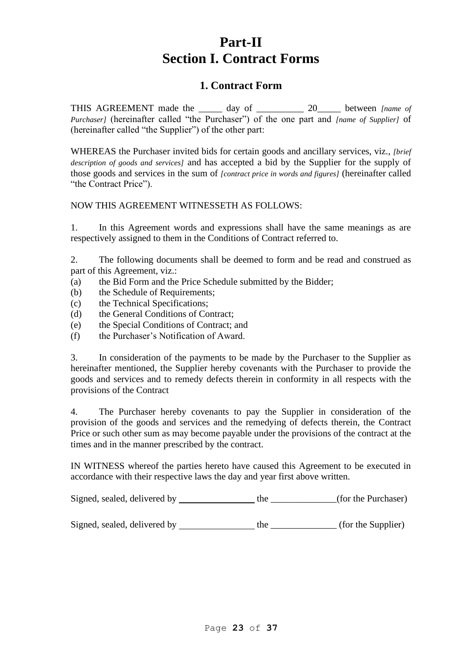# **Part-II Section I. Contract Forms**

# **1. Contract Form**

THIS AGREEMENT made the \_\_\_\_\_ day of \_\_\_\_\_\_\_\_\_\_ 20\_\_\_\_\_ between *[name of Purchaser]* (hereinafter called "the Purchaser") of the one part and *[name of Supplier]* of (hereinafter called "the Supplier") of the other part:

WHEREAS the Purchaser invited bids for certain goods and ancillary services, viz., *[brief description of goods and services]* and has accepted a bid by the Supplier for the supply of those goods and services in the sum of *[contract price in words and figures]* (hereinafter called "the Contract Price").

# NOW THIS AGREEMENT WITNESSETH AS FOLLOWS:

1. In this Agreement words and expressions shall have the same meanings as are respectively assigned to them in the Conditions of Contract referred to.

2. The following documents shall be deemed to form and be read and construed as part of this Agreement, viz.:

- (a) the Bid Form and the Price Schedule submitted by the Bidder;
- (b) the Schedule of Requirements;
- (c) the Technical Specifications;
- (d) the General Conditions of Contract;
- (e) the Special Conditions of Contract; and
- (f) the Purchaser's Notification of Award.

3. In consideration of the payments to be made by the Purchaser to the Supplier as hereinafter mentioned, the Supplier hereby covenants with the Purchaser to provide the goods and services and to remedy defects therein in conformity in all respects with the provisions of the Contract

4. The Purchaser hereby covenants to pay the Supplier in consideration of the provision of the goods and services and the remedying of defects therein, the Contract Price or such other sum as may become payable under the provisions of the contract at the times and in the manner prescribed by the contract.

IN WITNESS whereof the parties hereto have caused this Agreement to be executed in accordance with their respective laws the day and year first above written.

Signed, sealed, delivered by \_\_\_\_\_\_\_\_\_\_\_\_\_\_\_\_\_the \_\_\_\_\_\_\_\_\_\_(for the Purchaser)

Signed, sealed, delivered by \_\_\_\_\_\_\_\_\_\_\_\_\_\_\_\_\_\_\_ the \_\_\_\_\_\_\_\_\_\_\_\_\_\_ (for the Supplier)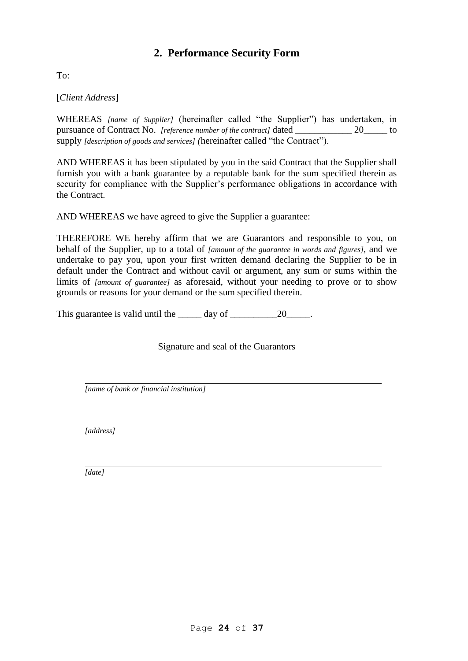# **2. Performance Security Form**

To:

[*Client Address*]

WHEREAS *[name of Supplier]* (hereinafter called "the Supplier") has undertaken, in pursuance of Contract No. *[reference number of the contract]* dated  $20$  to supply *[description of goods and services] (*hereinafter called "the Contract").

AND WHEREAS it has been stipulated by you in the said Contract that the Supplier shall furnish you with a bank guarantee by a reputable bank for the sum specified therein as security for compliance with the Supplier's performance obligations in accordance with the Contract.

AND WHEREAS we have agreed to give the Supplier a guarantee:

THEREFORE WE hereby affirm that we are Guarantors and responsible to you, on behalf of the Supplier, up to a total of *[amount of the guarantee in words and figures],* and we undertake to pay you, upon your first written demand declaring the Supplier to be in default under the Contract and without cavil or argument, any sum or sums within the limits of *[amount of guarantee]* as aforesaid, without your needing to prove or to show grounds or reasons for your demand or the sum specified therein.

This guarantee is valid until the day of 20 and 20 and 20 and 20 and 20 and 20 and 20 and 20 and 20

Signature and seal of the Guarantors

*[name of bank or financial institution]*

*[address]*

*[date]*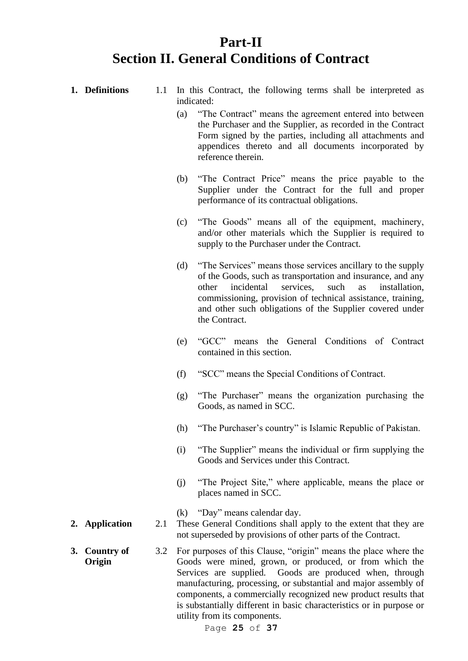# **Part-II Section II. General Conditions of Contract**

**1. Definitions** 1.1 In this Contract, the following terms shall be interpreted as

indicated:

- (a) "The Contract" means the agreement entered into between the Purchaser and the Supplier, as recorded in the Contract Form signed by the parties, including all attachments and appendices thereto and all documents incorporated by reference therein. (b) "The Contract Price" means the price payable to the Supplier under the Contract for the full and proper performance of its contractual obligations. (c) "The Goods" means all of the equipment, machinery, and/or other materials which the Supplier is required to supply to the Purchaser under the Contract. (d) "The Services" means those services ancillary to the supply of the Goods, such as transportation and insurance, and any other incidental services, such as installation, commissioning, provision of technical assistance, training, and other such obligations of the Supplier covered under the Contract. (e) "GCC" means the General Conditions of Contract contained in this section. (f) "SCC" means the Special Conditions of Contract. (g) "The Purchaser" means the organization purchasing the Goods, as named in SCC. (h) "The Purchaser's country" is Islamic Republic of Pakistan. (i) "The Supplier" means the individual or firm supplying the Goods and Services under this Contract. (j) "The Project Site," where applicable, means the place or places named in SCC. (k) "Day" means calendar day. **2. Application** 2.1 These General Conditions shall apply to the extent that they are not superseded by provisions of other parts of the Contract. **3. Country of**  3.2 For purposes of this Clause, "origin" means the place where the
- **Origin** Goods were mined, grown, or produced, or from which the Services are supplied. Goods are produced when, through manufacturing, processing, or substantial and major assembly of components, a commercially recognized new product results that is substantially different in basic characteristics or in purpose or utility from its components.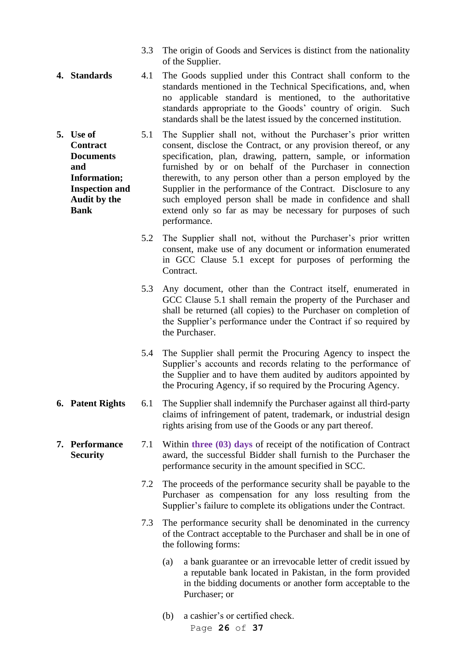- 3.3 The origin of Goods and Services is distinct from the nationality of the Supplier.
- **4. Standards** 4.1 The Goods supplied under this Contract shall conform to the standards mentioned in the Technical Specifications, and, when no applicable standard is mentioned, to the authoritative standards appropriate to the Goods' country of origin. Such standards shall be the latest issued by the concerned institution.
- **5. Use of Contract Documents and Information; Inspection and Audit by the Bank** 5.1 The Supplier shall not, without the Purchaser's prior written consent, disclose the Contract, or any provision thereof, or any specification, plan, drawing, pattern, sample, or information furnished by or on behalf of the Purchaser in connection therewith, to any person other than a person employed by the Supplier in the performance of the Contract. Disclosure to any such employed person shall be made in confidence and shall extend only so far as may be necessary for purposes of such performance.
	- 5.2 The Supplier shall not, without the Purchaser's prior written consent, make use of any document or information enumerated in GCC Clause 5.1 except for purposes of performing the Contract.
	- 5.3 Any document, other than the Contract itself, enumerated in GCC Clause 5.1 shall remain the property of the Purchaser and shall be returned (all copies) to the Purchaser on completion of the Supplier's performance under the Contract if so required by the Purchaser.
	- 5.4 The Supplier shall permit the Procuring Agency to inspect the Supplier's accounts and records relating to the performance of the Supplier and to have them audited by auditors appointed by the Procuring Agency, if so required by the Procuring Agency.
- **6. Patent Rights** 6.1 The Supplier shall indemnify the Purchaser against all third-party claims of infringement of patent, trademark, or industrial design rights arising from use of the Goods or any part thereof.
- **7. Performance Security** 7.1 Within **three (03) days** of receipt of the notification of Contract award, the successful Bidder shall furnish to the Purchaser the performance security in the amount specified in SCC.
	- 7.2 The proceeds of the performance security shall be payable to the Purchaser as compensation for any loss resulting from the Supplier's failure to complete its obligations under the Contract.
	- 7.3 The performance security shall be denominated in the currency of the Contract acceptable to the Purchaser and shall be in one of the following forms:
		- (a) a bank guarantee or an irrevocable letter of credit issued by a reputable bank located in Pakistan, in the form provided in the bidding documents or another form acceptable to the Purchaser; or
		- Page **26** of **37** (b) a cashier's or certified check.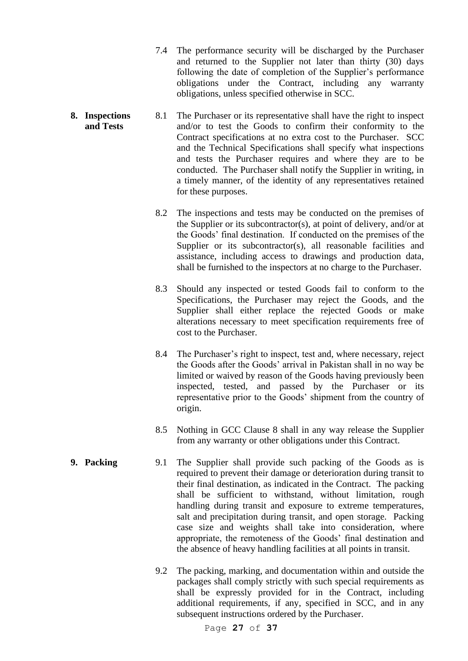- 7.4 The performance security will be discharged by the Purchaser and returned to the Supplier not later than thirty (30) days following the date of completion of the Supplier's performance obligations under the Contract, including any warranty obligations, unless specified otherwise in SCC.
- **8. Inspections and Tests** 8.1 The Purchaser or its representative shall have the right to inspect and/or to test the Goods to confirm their conformity to the Contract specifications at no extra cost to the Purchaser. SCC and the Technical Specifications shall specify what inspections and tests the Purchaser requires and where they are to be conducted. The Purchaser shall notify the Supplier in writing, in a timely manner, of the identity of any representatives retained for these purposes.
	- 8.2 The inspections and tests may be conducted on the premises of the Supplier or its subcontractor(s), at point of delivery, and/or at the Goods' final destination. If conducted on the premises of the Supplier or its subcontractor(s), all reasonable facilities and assistance, including access to drawings and production data, shall be furnished to the inspectors at no charge to the Purchaser.
	- 8.3 Should any inspected or tested Goods fail to conform to the Specifications, the Purchaser may reject the Goods, and the Supplier shall either replace the rejected Goods or make alterations necessary to meet specification requirements free of cost to the Purchaser.
	- 8.4 The Purchaser's right to inspect, test and, where necessary, reject the Goods after the Goods' arrival in Pakistan shall in no way be limited or waived by reason of the Goods having previously been inspected, tested, and passed by the Purchaser or its representative prior to the Goods' shipment from the country of origin.
	- 8.5 Nothing in GCC Clause 8 shall in any way release the Supplier from any warranty or other obligations under this Contract.
- **9. Packing** 9.1 The Supplier shall provide such packing of the Goods as is required to prevent their damage or deterioration during transit to their final destination, as indicated in the Contract. The packing shall be sufficient to withstand, without limitation, rough handling during transit and exposure to extreme temperatures, salt and precipitation during transit, and open storage. Packing case size and weights shall take into consideration, where appropriate, the remoteness of the Goods' final destination and the absence of heavy handling facilities at all points in transit.
	- 9.2 The packing, marking, and documentation within and outside the packages shall comply strictly with such special requirements as shall be expressly provided for in the Contract, including additional requirements, if any, specified in SCC, and in any subsequent instructions ordered by the Purchaser.

Page **27** of **37**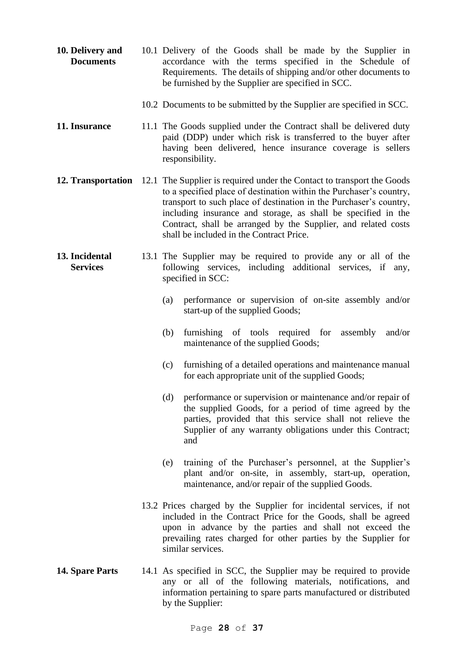**10. Delivery and Documents** 10.1 Delivery of the Goods shall be made by the Supplier in accordance with the terms specified in the Schedule of Requirements. The details of shipping and/or other documents to be furnished by the Supplier are specified in SCC. 10.2 Documents to be submitted by the Supplier are specified in SCC. **11. Insurance** 11.1 The Goods supplied under the Contract shall be delivered duty paid (DDP) under which risk is transferred to the buyer after having been delivered, hence insurance coverage is sellers responsibility. **12. Transportation** 12.1 The Supplier is required under the Contact to transport the Goods to a specified place of destination within the Purchaser's country, transport to such place of destination in the Purchaser's country, including insurance and storage, as shall be specified in the Contract, shall be arranged by the Supplier, and related costs shall be included in the Contract Price. **13. Incidental Services** 13.1 The Supplier may be required to provide any or all of the following services, including additional services, if any, specified in SCC: (a) performance or supervision of on-site assembly and/or start-up of the supplied Goods; (b) furnishing of tools required for assembly and/or maintenance of the supplied Goods; (c) furnishing of a detailed operations and maintenance manual for each appropriate unit of the supplied Goods; (d) performance or supervision or maintenance and/or repair of the supplied Goods, for a period of time agreed by the parties, provided that this service shall not relieve the Supplier of any warranty obligations under this Contract; and (e) training of the Purchaser's personnel, at the Supplier's plant and/or on-site, in assembly, start-up, operation, maintenance, and/or repair of the supplied Goods. 13.2 Prices charged by the Supplier for incidental services, if not included in the Contract Price for the Goods, shall be agreed upon in advance by the parties and shall not exceed the prevailing rates charged for other parties by the Supplier for similar services. **14. Spare Parts** 14.1 As specified in SCC, the Supplier may be required to provide any or all of the following materials, notifications, and information pertaining to spare parts manufactured or distributed

by the Supplier: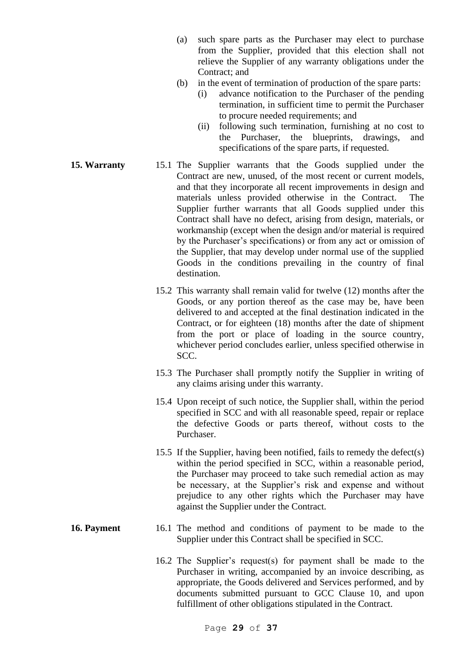- (a) such spare parts as the Purchaser may elect to purchase from the Supplier, provided that this election shall not relieve the Supplier of any warranty obligations under the Contract; and
- (b) in the event of termination of production of the spare parts:
	- (i) advance notification to the Purchaser of the pending termination, in sufficient time to permit the Purchaser to procure needed requirements; and
	- (ii) following such termination, furnishing at no cost to the Purchaser, the blueprints, drawings, and specifications of the spare parts, if requested.
- **15. Warranty** 15.1 The Supplier warrants that the Goods supplied under the Contract are new, unused, of the most recent or current models, and that they incorporate all recent improvements in design and materials unless provided otherwise in the Contract. The Supplier further warrants that all Goods supplied under this Contract shall have no defect, arising from design, materials, or workmanship (except when the design and/or material is required by the Purchaser's specifications) or from any act or omission of the Supplier, that may develop under normal use of the supplied Goods in the conditions prevailing in the country of final destination.
	- 15.2 This warranty shall remain valid for twelve (12) months after the Goods, or any portion thereof as the case may be, have been delivered to and accepted at the final destination indicated in the Contract, or for eighteen (18) months after the date of shipment from the port or place of loading in the source country, whichever period concludes earlier, unless specified otherwise in SCC.
	- 15.3 The Purchaser shall promptly notify the Supplier in writing of any claims arising under this warranty.
	- 15.4 Upon receipt of such notice, the Supplier shall, within the period specified in SCC and with all reasonable speed, repair or replace the defective Goods or parts thereof, without costs to the Purchaser.
	- 15.5 If the Supplier, having been notified, fails to remedy the defect(s) within the period specified in SCC, within a reasonable period, the Purchaser may proceed to take such remedial action as may be necessary, at the Supplier's risk and expense and without prejudice to any other rights which the Purchaser may have against the Supplier under the Contract.
- **16. Payment** 16.1 The method and conditions of payment to be made to the Supplier under this Contract shall be specified in SCC.
	- 16.2 The Supplier's request(s) for payment shall be made to the Purchaser in writing, accompanied by an invoice describing, as appropriate, the Goods delivered and Services performed, and by documents submitted pursuant to GCC Clause 10, and upon fulfillment of other obligations stipulated in the Contract.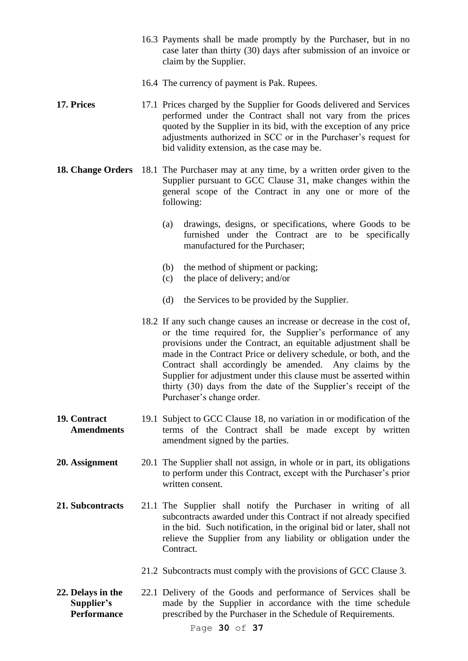- 16.3 Payments shall be made promptly by the Purchaser, but in no case later than thirty (30) days after submission of an invoice or claim by the Supplier.
- 16.4 The currency of payment is Pak. Rupees.
- **17. Prices** 17.1 Prices charged by the Supplier for Goods delivered and Services performed under the Contract shall not vary from the prices quoted by the Supplier in its bid, with the exception of any price adjustments authorized in SCC or in the Purchaser's request for bid validity extension, as the case may be.
- **18. Change Orders** 18.1 The Purchaser may at any time, by a written order given to the Supplier pursuant to GCC Clause 31, make changes within the general scope of the Contract in any one or more of the following:
	- (a) drawings, designs, or specifications, where Goods to be furnished under the Contract are to be specifically manufactured for the Purchaser;
	- (b) the method of shipment or packing;
	- (c) the place of delivery; and/or
	- (d) the Services to be provided by the Supplier.
	- 18.2 If any such change causes an increase or decrease in the cost of, or the time required for, the Supplier's performance of any provisions under the Contract, an equitable adjustment shall be made in the Contract Price or delivery schedule, or both, and the Contract shall accordingly be amended. Any claims by the Supplier for adjustment under this clause must be asserted within thirty (30) days from the date of the Supplier's receipt of the Purchaser's change order.
- **19. Contract Amendments** 19.1 Subject to GCC Clause 18, no variation in or modification of the terms of the Contract shall be made except by written amendment signed by the parties.
- **20. Assignment** 20.1 The Supplier shall not assign, in whole or in part, its obligations to perform under this Contract, except with the Purchaser's prior written consent.
- **21. Subcontracts** 21.1 The Supplier shall notify the Purchaser in writing of all subcontracts awarded under this Contract if not already specified in the bid. Such notification, in the original bid or later, shall not relieve the Supplier from any liability or obligation under the Contract.
	- 21.2 Subcontracts must comply with the provisions of GCC Clause 3.
- **22. Delays in the Supplier's Performance** 22.1 Delivery of the Goods and performance of Services shall be made by the Supplier in accordance with the time schedule prescribed by the Purchaser in the Schedule of Requirements.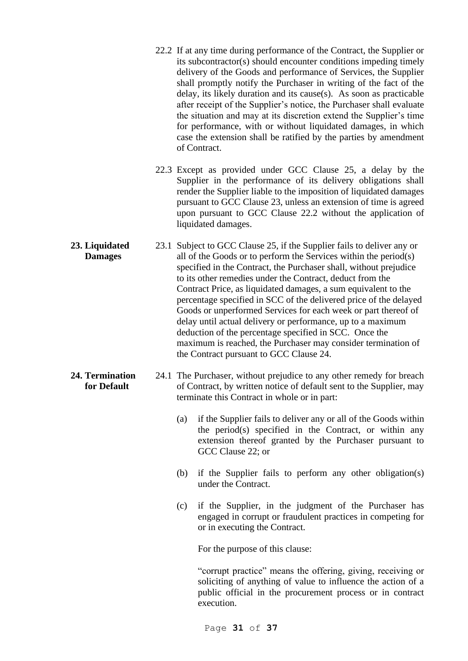- 22.2 If at any time during performance of the Contract, the Supplier or its subcontractor(s) should encounter conditions impeding timely delivery of the Goods and performance of Services, the Supplier shall promptly notify the Purchaser in writing of the fact of the delay, its likely duration and its cause(s). As soon as practicable after receipt of the Supplier's notice, the Purchaser shall evaluate the situation and may at its discretion extend the Supplier's time for performance, with or without liquidated damages, in which case the extension shall be ratified by the parties by amendment of Contract.
- 22.3 Except as provided under GCC Clause 25, a delay by the Supplier in the performance of its delivery obligations shall render the Supplier liable to the imposition of liquidated damages pursuant to GCC Clause 23, unless an extension of time is agreed upon pursuant to GCC Clause 22.2 without the application of liquidated damages.
- **23. Liquidated Damages** 23.1 Subject to GCC Clause 25, if the Supplier fails to deliver any or all of the Goods or to perform the Services within the period(s) specified in the Contract, the Purchaser shall, without prejudice to its other remedies under the Contract, deduct from the Contract Price, as liquidated damages, a sum equivalent to the percentage specified in SCC of the delivered price of the delayed Goods or unperformed Services for each week or part thereof of delay until actual delivery or performance, up to a maximum deduction of the percentage specified in SCC. Once the maximum is reached, the Purchaser may consider termination of the Contract pursuant to GCC Clause 24.
- **24. Termination for Default** 24.1 The Purchaser, without prejudice to any other remedy for breach of Contract, by written notice of default sent to the Supplier, may terminate this Contract in whole or in part:
	- (a) if the Supplier fails to deliver any or all of the Goods within the period(s) specified in the Contract, or within any extension thereof granted by the Purchaser pursuant to GCC Clause 22; or
	- (b) if the Supplier fails to perform any other obligation(s) under the Contract.
	- (c) if the Supplier, in the judgment of the Purchaser has engaged in corrupt or fraudulent practices in competing for or in executing the Contract.

For the purpose of this clause:

"corrupt practice" means the offering, giving, receiving or soliciting of anything of value to influence the action of a public official in the procurement process or in contract execution.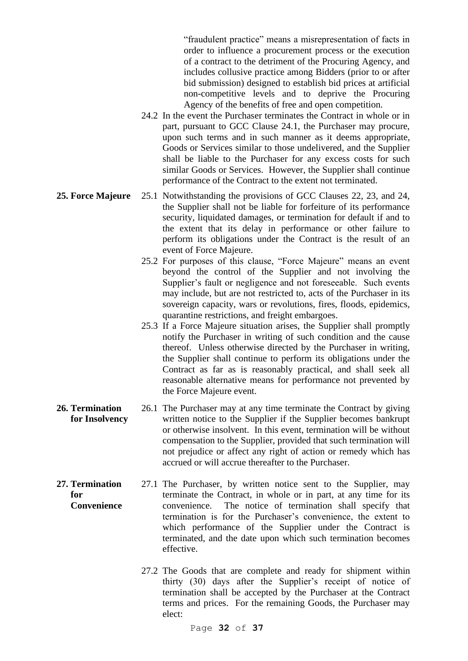"fraudulent practice" means a misrepresentation of facts in order to influence a procurement process or the execution of a contract to the detriment of the Procuring Agency, and includes collusive practice among Bidders (prior to or after bid submission) designed to establish bid prices at artificial non-competitive levels and to deprive the Procuring Agency of the benefits of free and open competition.

- 24.2 In the event the Purchaser terminates the Contract in whole or in part, pursuant to GCC Clause 24.1, the Purchaser may procure, upon such terms and in such manner as it deems appropriate, Goods or Services similar to those undelivered, and the Supplier shall be liable to the Purchaser for any excess costs for such similar Goods or Services. However, the Supplier shall continue performance of the Contract to the extent not terminated.
- **25. Force Majeure** 25.1 Notwithstanding the provisions of GCC Clauses 22, 23, and 24, the Supplier shall not be liable for forfeiture of its performance security, liquidated damages, or termination for default if and to the extent that its delay in performance or other failure to perform its obligations under the Contract is the result of an event of Force Majeure.
	- 25.2 For purposes of this clause, "Force Majeure" means an event beyond the control of the Supplier and not involving the Supplier's fault or negligence and not foreseeable. Such events may include, but are not restricted to, acts of the Purchaser in its sovereign capacity, wars or revolutions, fires, floods, epidemics, quarantine restrictions, and freight embargoes.
	- 25.3 If a Force Majeure situation arises, the Supplier shall promptly notify the Purchaser in writing of such condition and the cause thereof. Unless otherwise directed by the Purchaser in writing, the Supplier shall continue to perform its obligations under the Contract as far as is reasonably practical, and shall seek all reasonable alternative means for performance not prevented by the Force Majeure event.
- **26. Termination for Insolvency** 26.1 The Purchaser may at any time terminate the Contract by giving written notice to the Supplier if the Supplier becomes bankrupt or otherwise insolvent. In this event, termination will be without compensation to the Supplier, provided that such termination will not prejudice or affect any right of action or remedy which has accrued or will accrue thereafter to the Purchaser.
- **27. Termination for Convenience** 27.1 The Purchaser, by written notice sent to the Supplier, may terminate the Contract, in whole or in part, at any time for its convenience. The notice of termination shall specify that termination is for the Purchaser's convenience, the extent to which performance of the Supplier under the Contract is terminated, and the date upon which such termination becomes effective.
	- 27.2 The Goods that are complete and ready for shipment within thirty (30) days after the Supplier's receipt of notice of termination shall be accepted by the Purchaser at the Contract terms and prices. For the remaining Goods, the Purchaser may elect:

Page **32** of **37**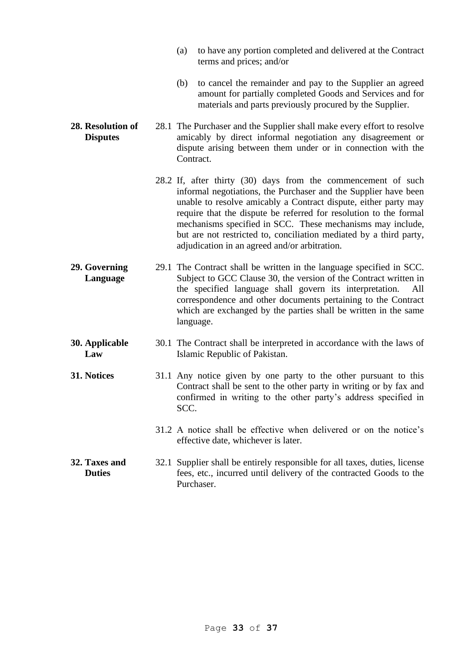|                                      | to have any portion completed and delivered at the Contract<br>(a)<br>terms and prices; and/or                                                                                                                                                                                                                                                                                                                                                                |
|--------------------------------------|---------------------------------------------------------------------------------------------------------------------------------------------------------------------------------------------------------------------------------------------------------------------------------------------------------------------------------------------------------------------------------------------------------------------------------------------------------------|
|                                      | (b)<br>to cancel the remainder and pay to the Supplier an agreed<br>amount for partially completed Goods and Services and for<br>materials and parts previously procured by the Supplier.                                                                                                                                                                                                                                                                     |
| 28. Resolution of<br><b>Disputes</b> | 28.1 The Purchaser and the Supplier shall make every effort to resolve<br>amicably by direct informal negotiation any disagreement or<br>dispute arising between them under or in connection with the<br>Contract.                                                                                                                                                                                                                                            |
|                                      | 28.2 If, after thirty (30) days from the commencement of such<br>informal negotiations, the Purchaser and the Supplier have been<br>unable to resolve amicably a Contract dispute, either party may<br>require that the dispute be referred for resolution to the formal<br>mechanisms specified in SCC. These mechanisms may include,<br>but are not restricted to, conciliation mediated by a third party,<br>adjudication in an agreed and/or arbitration. |
| 29. Governing<br>Language            | 29.1 The Contract shall be written in the language specified in SCC.<br>Subject to GCC Clause 30, the version of the Contract written in<br>the specified language shall govern its interpretation.<br>All<br>correspondence and other documents pertaining to the Contract<br>which are exchanged by the parties shall be written in the same<br>language.                                                                                                   |
| 30. Applicable<br>Law                | 30.1 The Contract shall be interpreted in accordance with the laws of<br>Islamic Republic of Pakistan.                                                                                                                                                                                                                                                                                                                                                        |
| 31. Notices                          | 31.1 Any notice given by one party to the other pursuant to this<br>Contract shall be sent to the other party in writing or by fax and<br>confirmed in writing to the other party's address specified in<br>SCC.                                                                                                                                                                                                                                              |
|                                      | 31.2 A notice shall be effective when delivered or on the notice's<br>effective date, whichever is later.                                                                                                                                                                                                                                                                                                                                                     |
| 32. Taxes and<br><b>Duties</b>       | 32.1 Supplier shall be entirely responsible for all taxes, duties, license<br>fees, etc., incurred until delivery of the contracted Goods to the<br>Purchaser.                                                                                                                                                                                                                                                                                                |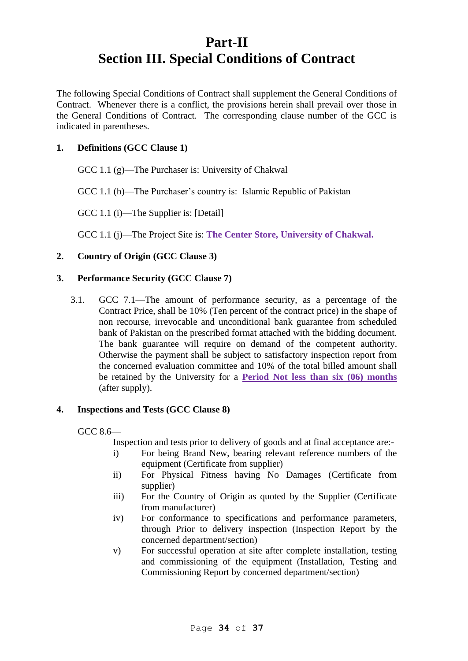# **Part-II Section III. Special Conditions of Contract**

The following Special Conditions of Contract shall supplement the General Conditions of Contract. Whenever there is a conflict, the provisions herein shall prevail over those in the General Conditions of Contract. The corresponding clause number of the GCC is indicated in parentheses.

# **1. Definitions (GCC Clause 1)**

GCC 1.1 (g)—The Purchaser is: University of Chakwal

GCC 1.1 (h)—The Purchaser's country is: Islamic Republic of Pakistan

GCC 1.1 (i)—The Supplier is: [Detail]

GCC 1.1 (j)—The Project Site is: **The Center Store, University of Chakwal.**

# **2. Country of Origin (GCC Clause 3)**

### **3. Performance Security (GCC Clause 7)**

3.1. GCC 7.1—The amount of performance security, as a percentage of the Contract Price, shall be 10% (Ten percent of the contract price) in the shape of non recourse, irrevocable and unconditional bank guarantee from scheduled bank of Pakistan on the prescribed format attached with the bidding document. The bank guarantee will require on demand of the competent authority. Otherwise the payment shall be subject to satisfactory inspection report from the concerned evaluation committee and 10% of the total billed amount shall be retained by the University for a **Period Not less than six (06) months** (after supply).

### **4. Inspections and Tests (GCC Clause 8)**

GCC 8.6—

Inspection and tests prior to delivery of goods and at final acceptance are:-

- i) For being Brand New, bearing relevant reference numbers of the equipment (Certificate from supplier)
- ii) For Physical Fitness having No Damages (Certificate from supplier)
- iii) For the Country of Origin as quoted by the Supplier (Certificate from manufacturer)
- iv) For conformance to specifications and performance parameters, through Prior to delivery inspection (Inspection Report by the concerned department/section)
- v) For successful operation at site after complete installation, testing and commissioning of the equipment (Installation, Testing and Commissioning Report by concerned department/section)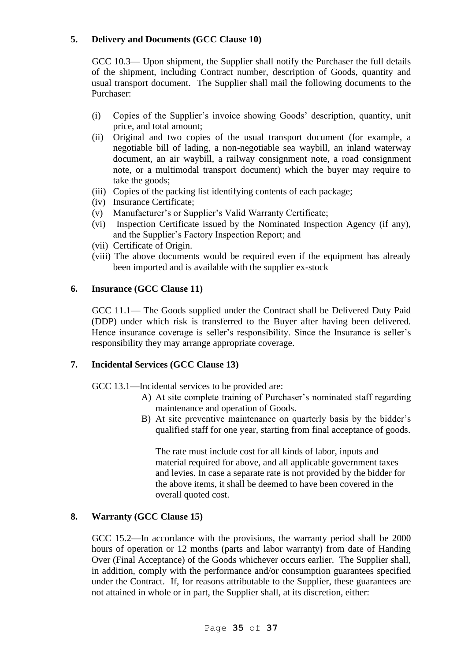# **5. Delivery and Documents (GCC Clause 10)**

GCC 10.3— Upon shipment, the Supplier shall notify the Purchaser the full details of the shipment, including Contract number, description of Goods, quantity and usual transport document. The Supplier shall mail the following documents to the Purchaser:

- (i) Copies of the Supplier's invoice showing Goods' description, quantity, unit price, and total amount;
- (ii) Original and two copies of the usual transport document (for example, a negotiable bill of lading, a non-negotiable sea waybill, an inland waterway document, an air waybill, a railway consignment note, a road consignment note, or a multimodal transport document) which the buyer may require to take the goods;
- (iii) Copies of the packing list identifying contents of each package;
- (iv) Insurance Certificate;
- (v) Manufacturer's or Supplier's Valid Warranty Certificate;
- (vi) Inspection Certificate issued by the Nominated Inspection Agency (if any), and the Supplier's Factory Inspection Report; and
- (vii) Certificate of Origin.
- (viii) The above documents would be required even if the equipment has already been imported and is available with the supplier ex-stock

# **6. Insurance (GCC Clause 11)**

GCC 11.1— The Goods supplied under the Contract shall be Delivered Duty Paid (DDP) under which risk is transferred to the Buyer after having been delivered. Hence insurance coverage is seller's responsibility. Since the Insurance is seller's responsibility they may arrange appropriate coverage.

# **7. Incidental Services (GCC Clause 13)**

GCC 13.1—Incidental services to be provided are:

- A) At site complete training of Purchaser's nominated staff regarding maintenance and operation of Goods.
- B) At site preventive maintenance on quarterly basis by the bidder's qualified staff for one year, starting from final acceptance of goods.

The rate must include cost for all kinds of labor, inputs and material required for above, and all applicable government taxes and levies. In case a separate rate is not provided by the bidder for the above items, it shall be deemed to have been covered in the overall quoted cost.

# **8. Warranty (GCC Clause 15)**

GCC 15.2—In accordance with the provisions, the warranty period shall be 2000 hours of operation or 12 months (parts and labor warranty) from date of Handing Over (Final Acceptance) of the Goods whichever occurs earlier. The Supplier shall, in addition, comply with the performance and/or consumption guarantees specified under the Contract. If, for reasons attributable to the Supplier, these guarantees are not attained in whole or in part, the Supplier shall, at its discretion, either: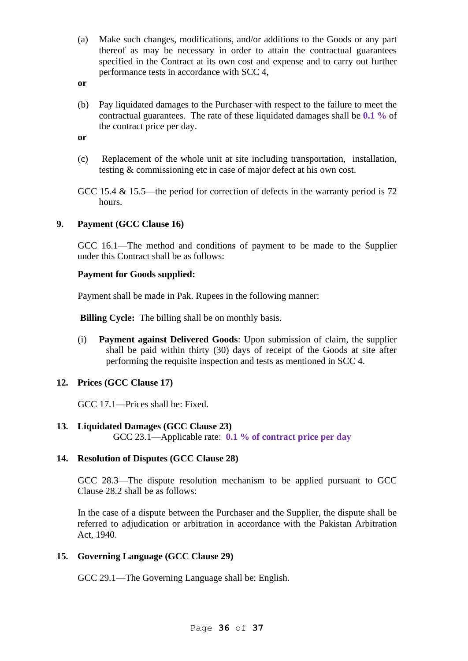- (a) Make such changes, modifications, and/or additions to the Goods or any part thereof as may be necessary in order to attain the contractual guarantees specified in the Contract at its own cost and expense and to carry out further performance tests in accordance with SCC 4,
- **or**
- (b) Pay liquidated damages to the Purchaser with respect to the failure to meet the contractual guarantees. The rate of these liquidated damages shall be **0.1 %** of the contract price per day.

**or**

(c) Replacement of the whole unit at site including transportation, installation, testing & commissioning etc in case of major defect at his own cost.

GCC 15.4 & 15.5—the period for correction of defects in the warranty period is 72 hours.

### **9. Payment (GCC Clause 16)**

GCC 16.1—The method and conditions of payment to be made to the Supplier under this Contract shall be as follows:

### **Payment for Goods supplied:**

Payment shall be made in Pak. Rupees in the following manner:

**Billing Cycle:** The billing shall be on monthly basis.

(i) **Payment against Delivered Goods**: Upon submission of claim, the supplier shall be paid within thirty (30) days of receipt of the Goods at site after performing the requisite inspection and tests as mentioned in SCC 4.

### **12. Prices (GCC Clause 17)**

GCC 17.1—Prices shall be: Fixed.

### **13. Liquidated Damages (GCC Clause 23)**

GCC 23.1—Applicable rate: **0.1 % of contract price per day**

# **14. Resolution of Disputes (GCC Clause 28)**

GCC 28.3—The dispute resolution mechanism to be applied pursuant to GCC Clause 28.2 shall be as follows:

In the case of a dispute between the Purchaser and the Supplier, the dispute shall be referred to adjudication or arbitration in accordance with the Pakistan Arbitration Act, 1940.

# **15. Governing Language (GCC Clause 29)**

GCC 29.1—The Governing Language shall be: English.